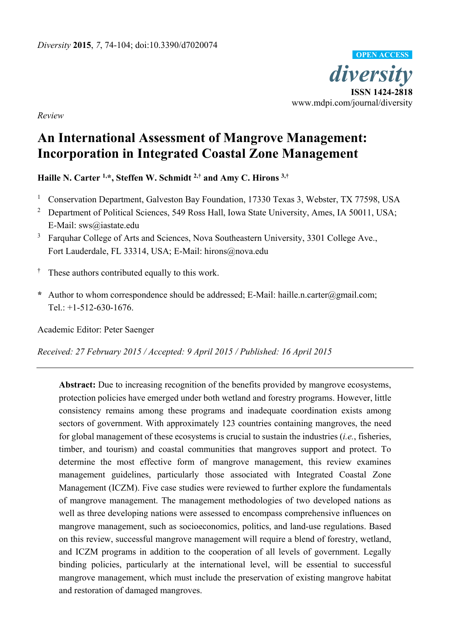

*Review* 

# **An International Assessment of Mangrove Management: Incorporation in Integrated Coastal Zone Management**

**Haille N. Carter 1,\*, Steffen W. Schmidt 2,† and Amy C. Hirons 3,†**

- 1 Conservation Department, Galveston Bay Foundation, 17330 Texas 3, Webster, TX 77598, USA
- 2 Department of Political Sciences, 549 Ross Hall, Iowa State University, Ames, IA 50011, USA; E-Mail: sws@iastate.edu
- 3 Farquhar College of Arts and Sciences, Nova Southeastern University, 3301 College Ave., Fort Lauderdale, FL 33314, USA; E-Mail: hirons@nova.edu
- <sup>†</sup> These authors contributed equally to this work.
- **\*** Author to whom correspondence should be addressed; E-Mail: haille.n.carter@gmail.com; Tel.: +1-512-630-1676.

Academic Editor: Peter Saenger

*Received: 27 February 2015 / Accepted: 9 April 2015 / Published: 16 April 2015* 

**Abstract:** Due to increasing recognition of the benefits provided by mangrove ecosystems, protection policies have emerged under both wetland and forestry programs. However, little consistency remains among these programs and inadequate coordination exists among sectors of government. With approximately 123 countries containing mangroves, the need for global management of these ecosystems is crucial to sustain the industries (*i.e.*, fisheries, timber, and tourism) and coastal communities that mangroves support and protect. To determine the most effective form of mangrove management, this review examines management guidelines, particularly those associated with Integrated Coastal Zone Management (ICZM). Five case studies were reviewed to further explore the fundamentals of mangrove management. The management methodologies of two developed nations as well as three developing nations were assessed to encompass comprehensive influences on mangrove management, such as socioeconomics, politics, and land-use regulations. Based on this review, successful mangrove management will require a blend of forestry, wetland, and ICZM programs in addition to the cooperation of all levels of government. Legally binding policies, particularly at the international level, will be essential to successful mangrove management, which must include the preservation of existing mangrove habitat and restoration of damaged mangroves.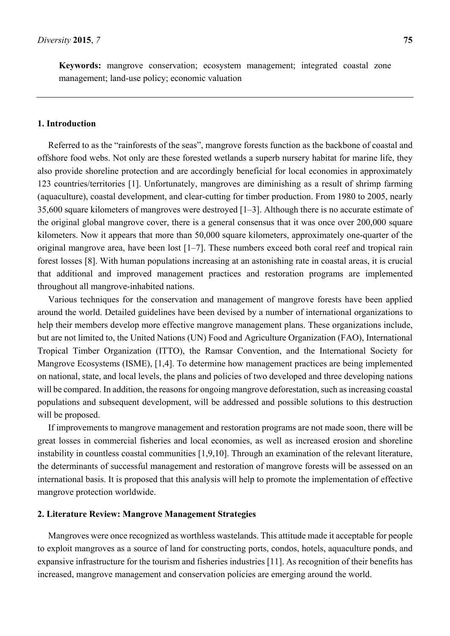# **1. Introduction**

Referred to as the "rainforests of the seas", mangrove forests function as the backbone of coastal and offshore food webs. Not only are these forested wetlands a superb nursery habitat for marine life, they also provide shoreline protection and are accordingly beneficial for local economies in approximately 123 countries/territories [1]. Unfortunately, mangroves are diminishing as a result of shrimp farming (aquaculture), coastal development, and clear-cutting for timber production. From 1980 to 2005, nearly 35,600 square kilometers of mangroves were destroyed [1–3]. Although there is no accurate estimate of the original global mangrove cover, there is a general consensus that it was once over 200,000 square kilometers. Now it appears that more than 50,000 square kilometers, approximately one-quarter of the original mangrove area, have been lost [1–7]. These numbers exceed both coral reef and tropical rain forest losses [8]. With human populations increasing at an astonishing rate in coastal areas, it is crucial that additional and improved management practices and restoration programs are implemented throughout all mangrove-inhabited nations.

Various techniques for the conservation and management of mangrove forests have been applied around the world. Detailed guidelines have been devised by a number of international organizations to help their members develop more effective mangrove management plans. These organizations include, but are not limited to, the United Nations (UN) Food and Agriculture Organization (FAO), International Tropical Timber Organization (ITTO), the Ramsar Convention, and the International Society for Mangrove Ecosystems (ISME), [1,4]. To determine how management practices are being implemented on national, state, and local levels, the plans and policies of two developed and three developing nations will be compared. In addition, the reasons for ongoing mangrove deforestation, such as increasing coastal populations and subsequent development, will be addressed and possible solutions to this destruction will be proposed.

If improvements to mangrove management and restoration programs are not made soon, there will be great losses in commercial fisheries and local economies, as well as increased erosion and shoreline instability in countless coastal communities [1,9,10]. Through an examination of the relevant literature, the determinants of successful management and restoration of mangrove forests will be assessed on an international basis. It is proposed that this analysis will help to promote the implementation of effective mangrove protection worldwide.

#### **2. Literature Review: Mangrove Management Strategies**

Mangroves were once recognized as worthless wastelands. This attitude made it acceptable for people to exploit mangroves as a source of land for constructing ports, condos, hotels, aquaculture ponds, and expansive infrastructure for the tourism and fisheries industries [11]. As recognition of their benefits has increased, mangrove management and conservation policies are emerging around the world.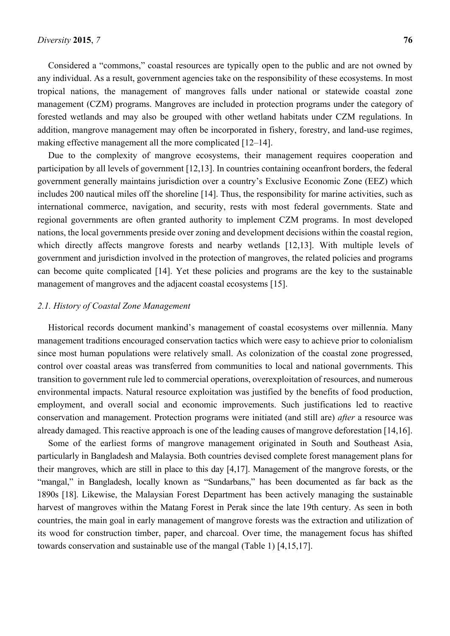Considered a "commons," coastal resources are typically open to the public and are not owned by any individual. As a result, government agencies take on the responsibility of these ecosystems. In most tropical nations, the management of mangroves falls under national or statewide coastal zone management (CZM) programs. Mangroves are included in protection programs under the category of forested wetlands and may also be grouped with other wetland habitats under CZM regulations. In addition, mangrove management may often be incorporated in fishery, forestry, and land-use regimes, making effective management all the more complicated [12–14].

Due to the complexity of mangrove ecosystems, their management requires cooperation and participation by all levels of government [12,13]. In countries containing oceanfront borders, the federal government generally maintains jurisdiction over a country's Exclusive Economic Zone (EEZ) which includes 200 nautical miles off the shoreline [14]. Thus, the responsibility for marine activities, such as international commerce, navigation, and security, rests with most federal governments. State and regional governments are often granted authority to implement CZM programs. In most developed nations, the local governments preside over zoning and development decisions within the coastal region, which directly affects mangrove forests and nearby wetlands [12,13]. With multiple levels of government and jurisdiction involved in the protection of mangroves, the related policies and programs can become quite complicated [14]. Yet these policies and programs are the key to the sustainable management of mangroves and the adjacent coastal ecosystems [15].

## *2.1. History of Coastal Zone Management*

Historical records document mankind's management of coastal ecosystems over millennia. Many management traditions encouraged conservation tactics which were easy to achieve prior to colonialism since most human populations were relatively small. As colonization of the coastal zone progressed, control over coastal areas was transferred from communities to local and national governments. This transition to government rule led to commercial operations, overexploitation of resources, and numerous environmental impacts. Natural resource exploitation was justified by the benefits of food production, employment, and overall social and economic improvements. Such justifications led to reactive conservation and management. Protection programs were initiated (and still are) *after* a resource was already damaged. This reactive approach is one of the leading causes of mangrove deforestation [14,16].

Some of the earliest forms of mangrove management originated in South and Southeast Asia, particularly in Bangladesh and Malaysia. Both countries devised complete forest management plans for their mangroves, which are still in place to this day [4,17]. Management of the mangrove forests, or the "mangal," in Bangladesh, locally known as "Sundarbans," has been documented as far back as the 1890s [18]. Likewise, the Malaysian Forest Department has been actively managing the sustainable harvest of mangroves within the Matang Forest in Perak since the late 19th century. As seen in both countries, the main goal in early management of mangrove forests was the extraction and utilization of its wood for construction timber, paper, and charcoal. Over time, the management focus has shifted towards conservation and sustainable use of the mangal (Table 1) [4,15,17].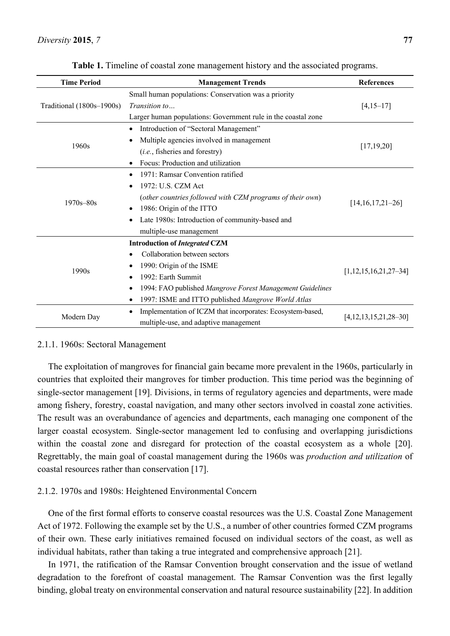| <b>Time Period</b>        | <b>Management Trends</b>                                      | <b>References</b>              |  |
|---------------------------|---------------------------------------------------------------|--------------------------------|--|
| Traditional (1800s-1900s) | Small human populations: Conservation was a priority          |                                |  |
|                           | Transition to                                                 | $[4, 15 - 17]$                 |  |
|                           | Larger human populations: Government rule in the coastal zone |                                |  |
| 1960s                     | Introduction of "Sectoral Management"                         |                                |  |
|                           | Multiple agencies involved in management                      | [17, 19, 20]                   |  |
|                           | $(i.e.,$ fisheries and forestry)                              |                                |  |
|                           | Focus: Production and utilization                             |                                |  |
|                           | 1971: Ramsar Convention ratified                              |                                |  |
|                           | 1972: U.S. CZM Act                                            | $[14, 16, 17, 21 - 26]$        |  |
| $1970s - 80s$             | (other countries followed with CZM programs of their own)     |                                |  |
|                           | 1986: Origin of the ITTO<br>٠                                 |                                |  |
|                           | Late 1980s: Introduction of community-based and               |                                |  |
|                           | multiple-use management                                       |                                |  |
| 1990s                     | <b>Introduction of Integrated CZM</b>                         |                                |  |
|                           | Collaboration between sectors                                 |                                |  |
|                           | 1990: Origin of the ISME                                      | $[1, 12, 15, 16, 21, 27-34]$   |  |
|                           | 1992: Earth Summit                                            |                                |  |
|                           | 1994: FAO published Mangrove Forest Management Guidelines     |                                |  |
|                           | 1997: ISME and ITTO published Mangrove World Atlas            |                                |  |
| Modern Day                | Implementation of ICZM that incorporates: Ecosystem-based,    |                                |  |
|                           | multiple-use, and adaptive management                         | $[4, 12, 13, 15, 21, 28 - 30]$ |  |

**Table 1.** Timeline of coastal zone management history and the associated programs.

## 2.1.1. 1960s: Sectoral Management

The exploitation of mangroves for financial gain became more prevalent in the 1960s, particularly in countries that exploited their mangroves for timber production. This time period was the beginning of single-sector management [19]. Divisions, in terms of regulatory agencies and departments, were made among fishery, forestry, coastal navigation, and many other sectors involved in coastal zone activities. The result was an overabundance of agencies and departments, each managing one component of the larger coastal ecosystem. Single-sector management led to confusing and overlapping jurisdictions within the coastal zone and disregard for protection of the coastal ecosystem as a whole [20]. Regrettably, the main goal of coastal management during the 1960s was *production and utilization* of coastal resources rather than conservation [17].

## 2.1.2. 1970s and 1980s: Heightened Environmental Concern

One of the first formal efforts to conserve coastal resources was the U.S. Coastal Zone Management Act of 1972. Following the example set by the U.S., a number of other countries formed CZM programs of their own. These early initiatives remained focused on individual sectors of the coast, as well as individual habitats, rather than taking a true integrated and comprehensive approach [21].

In 1971, the ratification of the Ramsar Convention brought conservation and the issue of wetland degradation to the forefront of coastal management. The Ramsar Convention was the first legally binding, global treaty on environmental conservation and natural resource sustainability [22]. In addition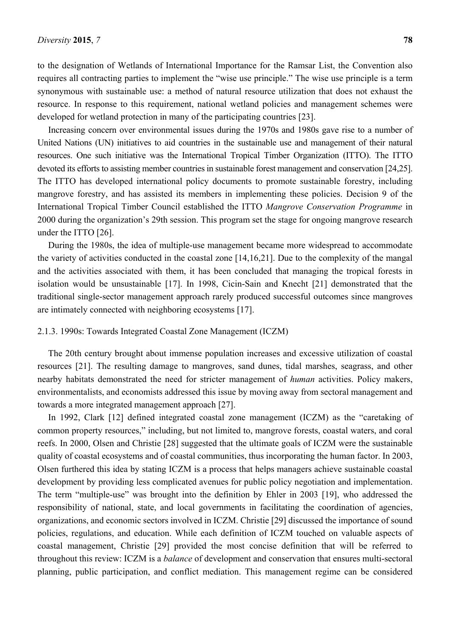to the designation of Wetlands of International Importance for the Ramsar List, the Convention also requires all contracting parties to implement the "wise use principle." The wise use principle is a term synonymous with sustainable use: a method of natural resource utilization that does not exhaust the resource. In response to this requirement, national wetland policies and management schemes were developed for wetland protection in many of the participating countries [23].

Increasing concern over environmental issues during the 1970s and 1980s gave rise to a number of United Nations (UN) initiatives to aid countries in the sustainable use and management of their natural resources. One such initiative was the International Tropical Timber Organization (ITTO). The ITTO devoted its efforts to assisting member countries in sustainable forest management and conservation [24,25]. The ITTO has developed international policy documents to promote sustainable forestry, including mangrove forestry, and has assisted its members in implementing these policies. Decision 9 of the International Tropical Timber Council established the ITTO *Mangrove Conservation Programme* in 2000 during the organization's 29th session. This program set the stage for ongoing mangrove research under the ITTO [26].

During the 1980s, the idea of multiple-use management became more widespread to accommodate the variety of activities conducted in the coastal zone [14,16,21]. Due to the complexity of the mangal and the activities associated with them, it has been concluded that managing the tropical forests in isolation would be unsustainable [17]. In 1998, Cicin-Sain and Knecht [21] demonstrated that the traditional single-sector management approach rarely produced successful outcomes since mangroves are intimately connected with neighboring ecosystems [17].

#### 2.1.3. 1990s: Towards Integrated Coastal Zone Management (ICZM)

The 20th century brought about immense population increases and excessive utilization of coastal resources [21]. The resulting damage to mangroves, sand dunes, tidal marshes, seagrass, and other nearby habitats demonstrated the need for stricter management of *human* activities. Policy makers, environmentalists, and economists addressed this issue by moving away from sectoral management and towards a more integrated management approach [27].

In 1992, Clark [12] defined integrated coastal zone management (ICZM) as the "caretaking of common property resources," including, but not limited to, mangrove forests, coastal waters, and coral reefs. In 2000, Olsen and Christie [28] suggested that the ultimate goals of ICZM were the sustainable quality of coastal ecosystems and of coastal communities, thus incorporating the human factor. In 2003, Olsen furthered this idea by stating ICZM is a process that helps managers achieve sustainable coastal development by providing less complicated avenues for public policy negotiation and implementation. The term "multiple-use" was brought into the definition by Ehler in 2003 [19], who addressed the responsibility of national, state, and local governments in facilitating the coordination of agencies, organizations, and economic sectors involved in ICZM. Christie [29] discussed the importance of sound policies, regulations, and education. While each definition of ICZM touched on valuable aspects of coastal management, Christie [29] provided the most concise definition that will be referred to throughout this review: ICZM is a *balance* of development and conservation that ensures multi-sectoral planning, public participation, and conflict mediation. This management regime can be considered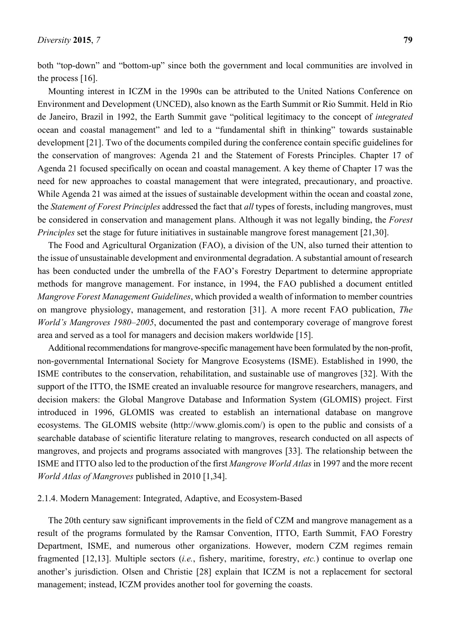both "top-down" and "bottom-up" since both the government and local communities are involved in the process [16].

Mounting interest in ICZM in the 1990s can be attributed to the United Nations Conference on Environment and Development (UNCED), also known as the Earth Summit or Rio Summit. Held in Rio de Janeiro, Brazil in 1992, the Earth Summit gave "political legitimacy to the concept of *integrated* ocean and coastal management" and led to a "fundamental shift in thinking" towards sustainable development [21]. Two of the documents compiled during the conference contain specific guidelines for the conservation of mangroves: Agenda 21 and the Statement of Forests Principles. Chapter 17 of Agenda 21 focused specifically on ocean and coastal management. A key theme of Chapter 17 was the need for new approaches to coastal management that were integrated, precautionary, and proactive. While Agenda 21 was aimed at the issues of sustainable development within the ocean and coastal zone, the *Statement of Forest Principles* addressed the fact that *all* types of forests, including mangroves, must be considered in conservation and management plans. Although it was not legally binding, the *Forest Principles* set the stage for future initiatives in sustainable mangrove forest management [21,30].

The Food and Agricultural Organization (FAO), a division of the UN, also turned their attention to the issue of unsustainable development and environmental degradation. A substantial amount of research has been conducted under the umbrella of the FAO's Forestry Department to determine appropriate methods for mangrove management. For instance, in 1994, the FAO published a document entitled *Mangrove Forest Management Guidelines*, which provided a wealth of information to member countries on mangrove physiology, management, and restoration [31]. A more recent FAO publication, *The World's Mangroves 1980–2005*, documented the past and contemporary coverage of mangrove forest area and served as a tool for managers and decision makers worldwide [15].

Additional recommendations for mangrove-specific management have been formulated by the non-profit, non-governmental International Society for Mangrove Ecosystems (ISME). Established in 1990, the ISME contributes to the conservation, rehabilitation, and sustainable use of mangroves [32]. With the support of the ITTO, the ISME created an invaluable resource for mangrove researchers, managers, and decision makers: the Global Mangrove Database and Information System (GLOMIS) project. First introduced in 1996, GLOMIS was created to establish an international database on mangrove ecosystems. The GLOMIS website (http://www.glomis.com/) is open to the public and consists of a searchable database of scientific literature relating to mangroves, research conducted on all aspects of mangroves, and projects and programs associated with mangroves [33]. The relationship between the ISME and ITTO also led to the production of the first *Mangrove World Atlas* in 1997 and the more recent *World Atlas of Mangroves* published in 2010 [1,34].

# 2.1.4. Modern Management: Integrated, Adaptive, and Ecosystem-Based

The 20th century saw significant improvements in the field of CZM and mangrove management as a result of the programs formulated by the Ramsar Convention, ITTO, Earth Summit, FAO Forestry Department, ISME, and numerous other organizations. However, modern CZM regimes remain fragmented [12,13]. Multiple sectors (*i.e.*, fishery, maritime, forestry, *etc.*) continue to overlap one another's jurisdiction. Olsen and Christie [28] explain that ICZM is not a replacement for sectoral management; instead, ICZM provides another tool for governing the coasts.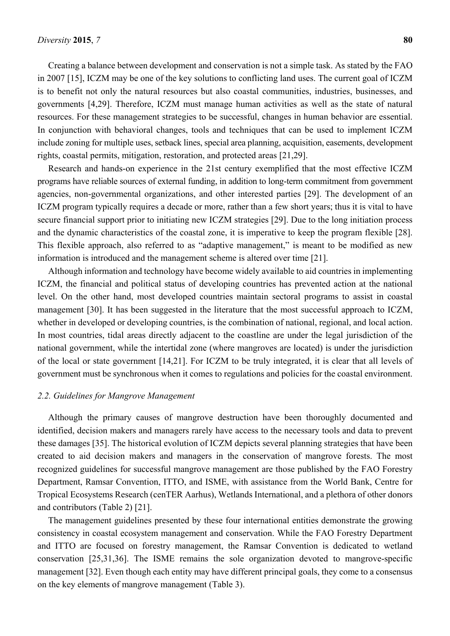Creating a balance between development and conservation is not a simple task. As stated by the FAO in 2007 [15], ICZM may be one of the key solutions to conflicting land uses. The current goal of ICZM is to benefit not only the natural resources but also coastal communities, industries, businesses, and governments [4,29]. Therefore, ICZM must manage human activities as well as the state of natural resources. For these management strategies to be successful, changes in human behavior are essential. In conjunction with behavioral changes, tools and techniques that can be used to implement ICZM include zoning for multiple uses, setback lines, special area planning, acquisition, easements, development rights, coastal permits, mitigation, restoration, and protected areas [21,29].

Research and hands-on experience in the 21st century exemplified that the most effective ICZM programs have reliable sources of external funding, in addition to long-term commitment from government agencies, non-governmental organizations, and other interested parties [29]. The development of an ICZM program typically requires a decade or more, rather than a few short years; thus it is vital to have secure financial support prior to initiating new ICZM strategies [29]. Due to the long initiation process and the dynamic characteristics of the coastal zone, it is imperative to keep the program flexible [28]. This flexible approach, also referred to as "adaptive management," is meant to be modified as new information is introduced and the management scheme is altered over time [21].

Although information and technology have become widely available to aid countries in implementing ICZM, the financial and political status of developing countries has prevented action at the national level. On the other hand, most developed countries maintain sectoral programs to assist in coastal management [30]. It has been suggested in the literature that the most successful approach to ICZM, whether in developed or developing countries, is the combination of national, regional, and local action. In most countries, tidal areas directly adjacent to the coastline are under the legal jurisdiction of the national government, while the intertidal zone (where mangroves are located) is under the jurisdiction of the local or state government [14,21]. For ICZM to be truly integrated, it is clear that all levels of government must be synchronous when it comes to regulations and policies for the coastal environment.

## *2.2. Guidelines for Mangrove Management*

Although the primary causes of mangrove destruction have been thoroughly documented and identified, decision makers and managers rarely have access to the necessary tools and data to prevent these damages [35]. The historical evolution of ICZM depicts several planning strategies that have been created to aid decision makers and managers in the conservation of mangrove forests. The most recognized guidelines for successful mangrove management are those published by the FAO Forestry Department, Ramsar Convention, ITTO, and ISME, with assistance from the World Bank, Centre for Tropical Ecosystems Research (cenTER Aarhus), Wetlands International, and a plethora of other donors and contributors (Table 2) [21].

The management guidelines presented by these four international entities demonstrate the growing consistency in coastal ecosystem management and conservation. While the FAO Forestry Department and ITTO are focused on forestry management, the Ramsar Convention is dedicated to wetland conservation [25,31,36]. The ISME remains the sole organization devoted to mangrove-specific management [32]. Even though each entity may have different principal goals, they come to a consensus on the key elements of mangrove management (Table 3).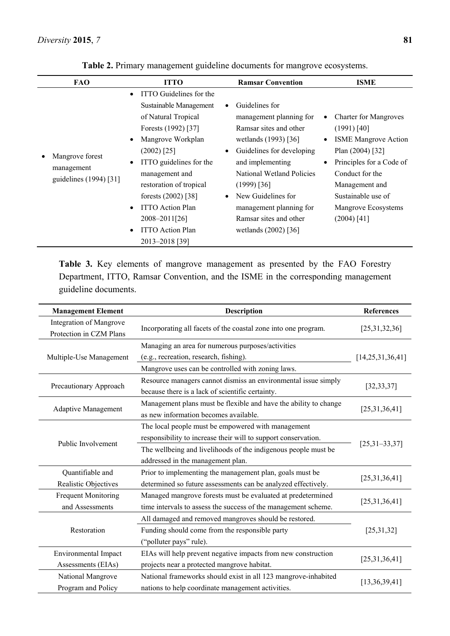| <b>FAO</b>                                              | <b>ITTO</b>                                                                                                                                                                                                                                                                                                                                                    | <b>Ramsar Convention</b>                                                                                                                                                                                                                                                                        | <b>ISME</b>                                                                                                                                                                                                                                                              |
|---------------------------------------------------------|----------------------------------------------------------------------------------------------------------------------------------------------------------------------------------------------------------------------------------------------------------------------------------------------------------------------------------------------------------------|-------------------------------------------------------------------------------------------------------------------------------------------------------------------------------------------------------------------------------------------------------------------------------------------------|--------------------------------------------------------------------------------------------------------------------------------------------------------------------------------------------------------------------------------------------------------------------------|
| Mangrove forest<br>management<br>guidelines (1994) [31] | <b>ITTO</b> Guidelines for the<br>$\bullet$<br>Sustainable Management<br>of Natural Tropical<br>Forests (1992) [37]<br>Mangrove Workplan<br>$(2002)$ [25]<br>ITTO guidelines for the<br>management and<br>restoration of tropical<br>forests (2002) [38]<br><b>ITTO Action Plan</b><br>$\bullet$<br>2008-2011[26]<br><b>ITTO Action Plan</b><br>2013-2018 [39] | Guidelines for<br>management planning for<br>Ramsar sites and other<br>wetlands (1993) [36]<br>Guidelines for developing<br>and implementing<br>National Wetland Policies<br>$(1999)$ [36]<br>New Guidelines for<br>management planning for<br>Ramsar sites and other<br>wetlands $(2002)$ [36] | <b>Charter for Mangroves</b><br>$\bullet$<br>$(1991)$ [40]<br><b>ISME Mangrove Action</b><br>$\bullet$<br>Plan $(2004)$ [32]<br>Principles for a Code of<br>$\bullet$<br>Conduct for the<br>Management and<br>Sustainable use of<br>Mangrove Ecosystems<br>$(2004)$ [41] |

**Table 2.** Primary management guideline documents for mangrove ecosystems.

**Table 3.** Key elements of mangrove management as presented by the FAO Forestry Department, ITTO, Ramsar Convention, and the ISME in the corresponding management guideline documents.

| <b>Management Element</b>                          | <b>Description</b>                                                                                                                                                                                                          | <b>References</b>    |
|----------------------------------------------------|-----------------------------------------------------------------------------------------------------------------------------------------------------------------------------------------------------------------------------|----------------------|
| Integration of Mangrove<br>Protection in CZM Plans | Incorporating all facets of the coastal zone into one program.                                                                                                                                                              | [25,31,32,36]        |
| Multiple-Use Management                            | Managing an area for numerous purposes/activities<br>(e.g., recreation, research, fishing).<br>Mangrove uses can be controlled with zoning laws.                                                                            | [14, 25, 31, 36, 41] |
| Precautionary Approach                             | Resource managers cannot dismiss an environmental issue simply<br>because there is a lack of scientific certainty.                                                                                                          | [32, 33, 37]         |
| <b>Adaptive Management</b>                         | Management plans must be flexible and have the ability to change<br>as new information becomes available.                                                                                                                   | [25,31,36,41]        |
| Public Involvement                                 | The local people must be empowered with management<br>responsibility to increase their will to support conservation.<br>The wellbeing and livelihoods of the indigenous people must be<br>addressed in the management plan. | $[25,31-33,37]$      |
| Quantifiable and<br><b>Realistic Objectives</b>    | Prior to implementing the management plan, goals must be<br>determined so future assessments can be analyzed effectively.                                                                                                   | [25,31,36,41]        |
| <b>Frequent Monitoring</b><br>and Assessments      | Managed mangrove forests must be evaluated at predetermined<br>time intervals to assess the success of the management scheme.                                                                                               | [25,31,36,41]        |
| Restoration                                        | All damaged and removed mangroves should be restored.<br>Funding should come from the responsible party<br>("polluter pays" rule).                                                                                          | [25,31,32]           |
| <b>Environmental Impact</b><br>Assessments (EIAs)  | EIAs will help prevent negative impacts from new construction<br>projects near a protected mangrove habitat.                                                                                                                | [25,31,36,41]        |
| National Mangrove<br>Program and Policy            | National frameworks should exist in all 123 mangrove-inhabited<br>nations to help coordinate management activities.                                                                                                         | [13, 36, 39, 41]     |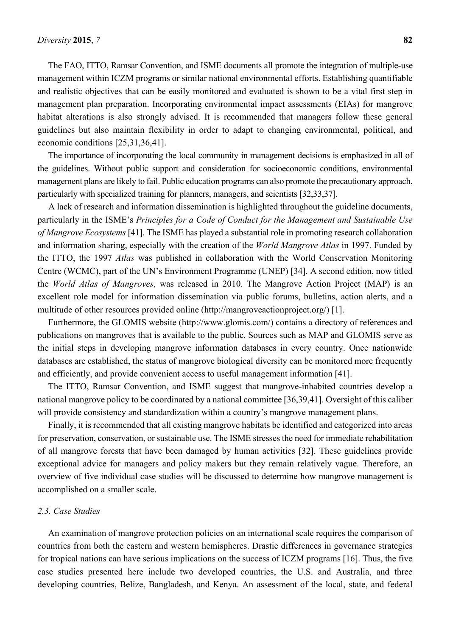The FAO, ITTO, Ramsar Convention, and ISME documents all promote the integration of multiple-use management within ICZM programs or similar national environmental efforts. Establishing quantifiable and realistic objectives that can be easily monitored and evaluated is shown to be a vital first step in management plan preparation. Incorporating environmental impact assessments (EIAs) for mangrove habitat alterations is also strongly advised. It is recommended that managers follow these general guidelines but also maintain flexibility in order to adapt to changing environmental, political, and economic conditions [25,31,36,41].

The importance of incorporating the local community in management decisions is emphasized in all of the guidelines. Without public support and consideration for socioeconomic conditions, environmental management plans are likely to fail. Public education programs can also promote the precautionary approach, particularly with specialized training for planners, managers, and scientists [32,33,37].

A lack of research and information dissemination is highlighted throughout the guideline documents, particularly in the ISME's *Principles for a Code of Conduct for the Management and Sustainable Use of Mangrove Ecosystems* [41]. The ISME has played a substantial role in promoting research collaboration and information sharing, especially with the creation of the *World Mangrove Atlas* in 1997. Funded by the ITTO, the 1997 *Atlas* was published in collaboration with the World Conservation Monitoring Centre (WCMC), part of the UN's Environment Programme (UNEP) [34]. A second edition, now titled the *World Atlas of Mangroves*, was released in 2010. The Mangrove Action Project (MAP) is an excellent role model for information dissemination via public forums, bulletins, action alerts, and a multitude of other resources provided online (http://mangroveactionproject.org/) [1].

Furthermore, the GLOMIS website (http://www.glomis.com/) contains a directory of references and publications on mangroves that is available to the public. Sources such as MAP and GLOMIS serve as the initial steps in developing mangrove information databases in every country. Once nationwide databases are established, the status of mangrove biological diversity can be monitored more frequently and efficiently, and provide convenient access to useful management information [41].

The ITTO, Ramsar Convention, and ISME suggest that mangrove-inhabited countries develop a national mangrove policy to be coordinated by a national committee [36,39,41]. Oversight of this caliber will provide consistency and standardization within a country's mangrove management plans.

Finally, it is recommended that all existing mangrove habitats be identified and categorized into areas for preservation, conservation, or sustainable use. The ISME stresses the need for immediate rehabilitation of all mangrove forests that have been damaged by human activities [32]. These guidelines provide exceptional advice for managers and policy makers but they remain relatively vague. Therefore, an overview of five individual case studies will be discussed to determine how mangrove management is accomplished on a smaller scale.

#### *2.3. Case Studies*

An examination of mangrove protection policies on an international scale requires the comparison of countries from both the eastern and western hemispheres. Drastic differences in governance strategies for tropical nations can have serious implications on the success of ICZM programs [16]. Thus, the five case studies presented here include two developed countries, the U.S. and Australia, and three developing countries, Belize, Bangladesh, and Kenya. An assessment of the local, state, and federal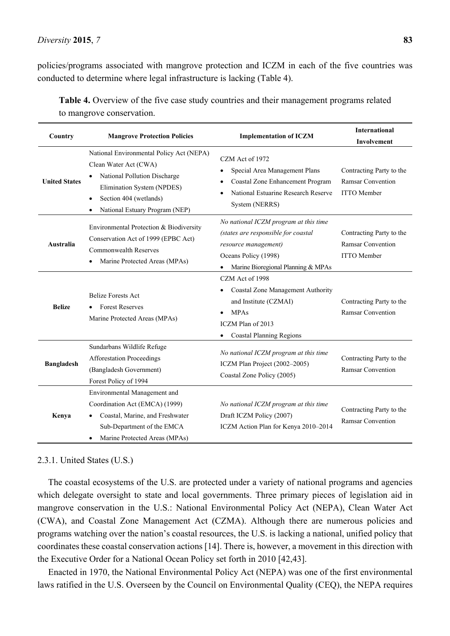policies/programs associated with mangrove protection and ICZM in each of the five countries was conducted to determine where legal infrastructure is lacking (Table 4).

**Table 4.** Overview of the five case study countries and their management programs related to mangrove conservation.

| Country              | <b>Mangrove Protection Policies</b>                                                                                                                                                                                                | <b>Implementation of ICZM</b>                                                                                                                                                                      | <b>International</b><br><b>Involvement</b>                                 |
|----------------------|------------------------------------------------------------------------------------------------------------------------------------------------------------------------------------------------------------------------------------|----------------------------------------------------------------------------------------------------------------------------------------------------------------------------------------------------|----------------------------------------------------------------------------|
| <b>United States</b> | National Environmental Policy Act (NEPA)<br>Clean Water Act (CWA)<br>National Pollution Discharge<br>$\bullet$<br>Elimination System (NPDES)<br>Section 404 (wetlands)<br>$\bullet$<br>National Estuary Program (NEP)<br>$\bullet$ | CZM Act of 1972<br>Special Area Management Plans<br>٠<br>Coastal Zone Enhancement Program<br>National Estuarine Research Reserve<br>System (NERRS)                                                 | Contracting Party to the<br><b>Ramsar Convention</b><br><b>ITTO</b> Member |
| <b>Australia</b>     | Environmental Protection & Biodiversity<br>Conservation Act of 1999 (EPBC Act)<br><b>Commonwealth Reserves</b><br>Marine Protected Areas (MPAs)<br>$\bullet$                                                                       | No national ICZM program at this time<br>(states are responsible for coastal<br>resource management)<br>Oceans Policy (1998)<br>Marine Bioregional Planning & MPAs                                 | Contracting Party to the<br><b>Ramsar Convention</b><br><b>ITTO</b> Member |
| <b>Belize</b>        | <b>Belize Forests Act</b><br><b>Forest Reserves</b><br>Marine Protected Areas (MPAs)                                                                                                                                               | CZM Act of 1998<br><b>Coastal Zone Management Authority</b><br>$\bullet$<br>and Institute (CZMAI)<br><b>MPAs</b><br>$\bullet$<br>ICZM Plan of 2013<br><b>Coastal Planning Regions</b><br>$\bullet$ | Contracting Party to the<br><b>Ramsar Convention</b>                       |
| <b>Bangladesh</b>    | Sundarbans Wildlife Refuge<br><b>Afforestation Proceedings</b><br>(Bangladesh Government)<br>Forest Policy of 1994                                                                                                                 | No national ICZM program at this time<br>ICZM Plan Project (2002-2005)<br>Coastal Zone Policy (2005)                                                                                               | Contracting Party to the<br><b>Ramsar Convention</b>                       |
| Kenya                | Environmental Management and<br>Coordination Act (EMCA) (1999)<br>Coastal, Marine, and Freshwater<br>Sub-Department of the EMCA<br>Marine Protected Areas (MPAs)<br>$\bullet$                                                      | No national ICZM program at this time<br>Draft ICZM Policy (2007)<br>ICZM Action Plan for Kenya 2010-2014                                                                                          | Contracting Party to the<br><b>Ramsar Convention</b>                       |

#### 2.3.1. United States (U.S.)

The coastal ecosystems of the U.S. are protected under a variety of national programs and agencies which delegate oversight to state and local governments. Three primary pieces of legislation aid in mangrove conservation in the U.S.: National Environmental Policy Act (NEPA), Clean Water Act (CWA), and Coastal Zone Management Act (CZMA). Although there are numerous policies and programs watching over the nation's coastal resources, the U.S. is lacking a national, unified policy that coordinates these coastal conservation actions [14]. There is, however, a movement in this direction with the Executive Order for a National Ocean Policy set forth in 2010 [42,43].

Enacted in 1970, the National Environmental Policy Act (NEPA) was one of the first environmental laws ratified in the U.S. Overseen by the Council on Environmental Quality (CEQ), the NEPA requires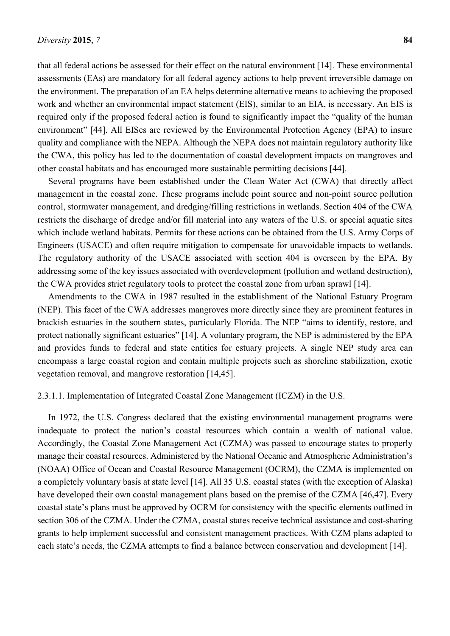that all federal actions be assessed for their effect on the natural environment [14]. These environmental assessments (EAs) are mandatory for all federal agency actions to help prevent irreversible damage on the environment. The preparation of an EA helps determine alternative means to achieving the proposed work and whether an environmental impact statement (EIS), similar to an EIA, is necessary. An EIS is required only if the proposed federal action is found to significantly impact the "quality of the human environment" [44]. All EISes are reviewed by the Environmental Protection Agency (EPA) to insure quality and compliance with the NEPA. Although the NEPA does not maintain regulatory authority like the CWA, this policy has led to the documentation of coastal development impacts on mangroves and other coastal habitats and has encouraged more sustainable permitting decisions [44].

Several programs have been established under the Clean Water Act (CWA) that directly affect management in the coastal zone. These programs include point source and non-point source pollution control, stormwater management, and dredging/filling restrictions in wetlands. Section 404 of the CWA restricts the discharge of dredge and/or fill material into any waters of the U.S. or special aquatic sites which include wetland habitats. Permits for these actions can be obtained from the U.S. Army Corps of Engineers (USACE) and often require mitigation to compensate for unavoidable impacts to wetlands. The regulatory authority of the USACE associated with section 404 is overseen by the EPA. By addressing some of the key issues associated with overdevelopment (pollution and wetland destruction), the CWA provides strict regulatory tools to protect the coastal zone from urban sprawl [14].

Amendments to the CWA in 1987 resulted in the establishment of the National Estuary Program (NEP). This facet of the CWA addresses mangroves more directly since they are prominent features in brackish estuaries in the southern states, particularly Florida. The NEP "aims to identify, restore, and protect nationally significant estuaries" [14]. A voluntary program, the NEP is administered by the EPA and provides funds to federal and state entities for estuary projects. A single NEP study area can encompass a large coastal region and contain multiple projects such as shoreline stabilization, exotic vegetation removal, and mangrove restoration [14,45].

## 2.3.1.1. Implementation of Integrated Coastal Zone Management (ICZM) in the U.S.

In 1972, the U.S. Congress declared that the existing environmental management programs were inadequate to protect the nation's coastal resources which contain a wealth of national value. Accordingly, the Coastal Zone Management Act (CZMA) was passed to encourage states to properly manage their coastal resources. Administered by the National Oceanic and Atmospheric Administration's (NOAA) Office of Ocean and Coastal Resource Management (OCRM), the CZMA is implemented on a completely voluntary basis at state level [14]. All 35 U.S. coastal states (with the exception of Alaska) have developed their own coastal management plans based on the premise of the CZMA [46,47]. Every coastal state's plans must be approved by OCRM for consistency with the specific elements outlined in section 306 of the CZMA. Under the CZMA, coastal states receive technical assistance and cost-sharing grants to help implement successful and consistent management practices. With CZM plans adapted to each state's needs, the CZMA attempts to find a balance between conservation and development [14].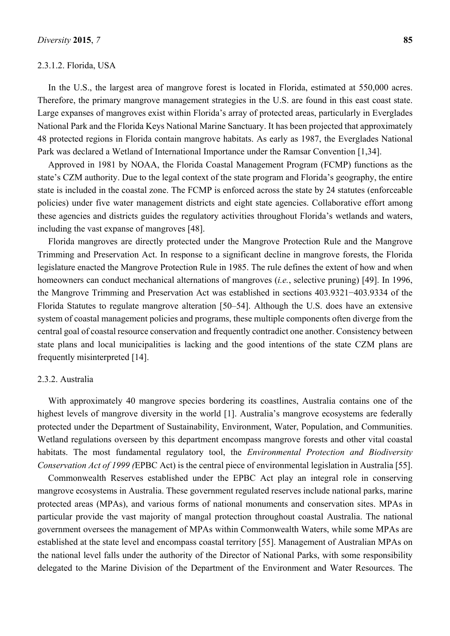#### 2.3.1.2. Florida, USA

In the U.S., the largest area of mangrove forest is located in Florida, estimated at 550,000 acres. Therefore, the primary mangrove management strategies in the U.S. are found in this east coast state. Large expanses of mangroves exist within Florida's array of protected areas, particularly in Everglades National Park and the Florida Keys National Marine Sanctuary. It has been projected that approximately 48 protected regions in Florida contain mangrove habitats. As early as 1987, the Everglades National Park was declared a Wetland of International Importance under the Ramsar Convention [1,34].

Approved in 1981 by NOAA, the Florida Coastal Management Program (FCMP) functions as the state's CZM authority. Due to the legal context of the state program and Florida's geography, the entire state is included in the coastal zone. The FCMP is enforced across the state by 24 statutes (enforceable policies) under five water management districts and eight state agencies. Collaborative effort among these agencies and districts guides the regulatory activities throughout Florida's wetlands and waters, including the vast expanse of mangroves [48].

Florida mangroves are directly protected under the Mangrove Protection Rule and the Mangrove Trimming and Preservation Act. In response to a significant decline in mangrove forests, the Florida legislature enacted the Mangrove Protection Rule in 1985. The rule defines the extent of how and when homeowners can conduct mechanical alternations of mangroves (*i.e.*, selective pruning) [49]. In 1996, the Mangrove Trimming and Preservation Act was established in sections 403.9321−403.9334 of the Florida Statutes to regulate mangrove alteration [50–54]. Although the U.S. does have an extensive system of coastal management policies and programs, these multiple components often diverge from the central goal of coastal resource conservation and frequently contradict one another. Consistency between state plans and local municipalities is lacking and the good intentions of the state CZM plans are frequently misinterpreted [14].

#### 2.3.2. Australia

With approximately 40 mangrove species bordering its coastlines, Australia contains one of the highest levels of mangrove diversity in the world [1]. Australia's mangrove ecosystems are federally protected under the Department of Sustainability, Environment, Water, Population, and Communities. Wetland regulations overseen by this department encompass mangrove forests and other vital coastal habitats. The most fundamental regulatory tool, the *Environmental Protection and Biodiversity Conservation Act of 1999 (*EPBC Act) is the central piece of environmental legislation in Australia [55].

Commonwealth Reserves established under the EPBC Act play an integral role in conserving mangrove ecosystems in Australia. These government regulated reserves include national parks, marine protected areas (MPAs), and various forms of national monuments and conservation sites. MPAs in particular provide the vast majority of mangal protection throughout coastal Australia. The national government oversees the management of MPAs within Commonwealth Waters, while some MPAs are established at the state level and encompass coastal territory [55]. Management of Australian MPAs on the national level falls under the authority of the Director of National Parks, with some responsibility delegated to the Marine Division of the Department of the Environment and Water Resources. The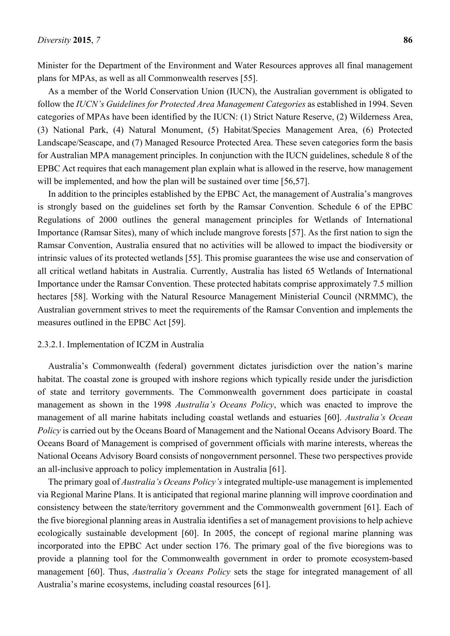Minister for the Department of the Environment and Water Resources approves all final management plans for MPAs, as well as all Commonwealth reserves [55].

As a member of the World Conservation Union (IUCN), the Australian government is obligated to follow the *IUCN's Guidelines for Protected Area Management Categories* as established in 1994. Seven categories of MPAs have been identified by the IUCN: (1) Strict Nature Reserve, (2) Wilderness Area, (3) National Park, (4) Natural Monument, (5) Habitat/Species Management Area, (6) Protected Landscape/Seascape, and (7) Managed Resource Protected Area. These seven categories form the basis for Australian MPA management principles. In conjunction with the IUCN guidelines, schedule 8 of the EPBC Act requires that each management plan explain what is allowed in the reserve, how management will be implemented, and how the plan will be sustained over time [56,57].

In addition to the principles established by the EPBC Act, the management of Australia's mangroves is strongly based on the guidelines set forth by the Ramsar Convention. Schedule 6 of the EPBC Regulations of 2000 outlines the general management principles for Wetlands of International Importance (Ramsar Sites), many of which include mangrove forests [57]. As the first nation to sign the Ramsar Convention, Australia ensured that no activities will be allowed to impact the biodiversity or intrinsic values of its protected wetlands [55]. This promise guarantees the wise use and conservation of all critical wetland habitats in Australia. Currently, Australia has listed 65 Wetlands of International Importance under the Ramsar Convention. These protected habitats comprise approximately 7.5 million hectares [58]. Working with the Natural Resource Management Ministerial Council (NRMMC), the Australian government strives to meet the requirements of the Ramsar Convention and implements the measures outlined in the EPBC Act [59].

## 2.3.2.1. Implementation of ICZM in Australia

Australia's Commonwealth (federal) government dictates jurisdiction over the nation's marine habitat. The coastal zone is grouped with inshore regions which typically reside under the jurisdiction of state and territory governments. The Commonwealth government does participate in coastal management as shown in the 1998 *Australia's Oceans Policy*, which was enacted to improve the management of all marine habitats including coastal wetlands and estuaries [60]. *Australia's Ocean Policy* is carried out by the Oceans Board of Management and the National Oceans Advisory Board. The Oceans Board of Management is comprised of government officials with marine interests, whereas the National Oceans Advisory Board consists of nongovernment personnel. These two perspectives provide an all-inclusive approach to policy implementation in Australia [61].

The primary goal of *Australia's Oceans Policy's* integrated multiple-use management is implemented via Regional Marine Plans. It is anticipated that regional marine planning will improve coordination and consistency between the state/territory government and the Commonwealth government [61]. Each of the five bioregional planning areas in Australia identifies a set of management provisions to help achieve ecologically sustainable development [60]. In 2005, the concept of regional marine planning was incorporated into the EPBC Act under section 176. The primary goal of the five bioregions was to provide a planning tool for the Commonwealth government in order to promote ecosystem-based management [60]. Thus, *Australia's Oceans Policy* sets the stage for integrated management of all Australia's marine ecosystems, including coastal resources [61].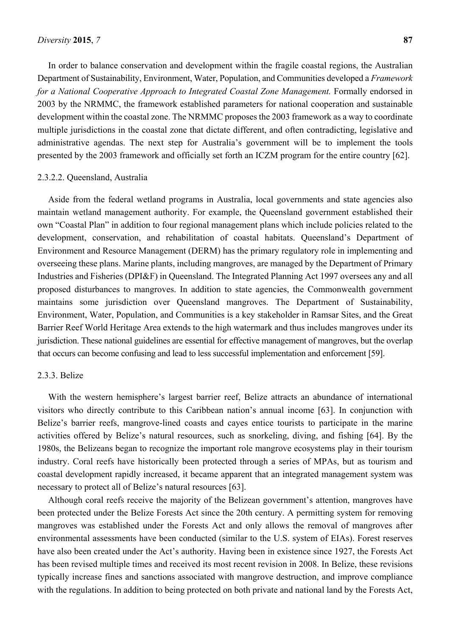In order to balance conservation and development within the fragile coastal regions, the Australian Department of Sustainability, Environment, Water, Population, and Communities developed a *Framework for a National Cooperative Approach to Integrated Coastal Zone Management.* Formally endorsed in 2003 by the NRMMC, the framework established parameters for national cooperation and sustainable development within the coastal zone. The NRMMC proposes the 2003 framework as a way to coordinate multiple jurisdictions in the coastal zone that dictate different, and often contradicting, legislative and administrative agendas. The next step for Australia's government will be to implement the tools presented by the 2003 framework and officially set forth an ICZM program for the entire country [62].

#### 2.3.2.2. Queensland, Australia

Aside from the federal wetland programs in Australia, local governments and state agencies also maintain wetland management authority. For example, the Queensland government established their own "Coastal Plan" in addition to four regional management plans which include policies related to the development, conservation, and rehabilitation of coastal habitats. Queensland's Department of Environment and Resource Management (DERM) has the primary regulatory role in implementing and overseeing these plans. Marine plants, including mangroves, are managed by the Department of Primary Industries and Fisheries (DPI&F) in Queensland. The Integrated Planning Act 1997 oversees any and all proposed disturbances to mangroves. In addition to state agencies, the Commonwealth government maintains some jurisdiction over Queensland mangroves. The Department of Sustainability, Environment, Water, Population, and Communities is a key stakeholder in Ramsar Sites, and the Great Barrier Reef World Heritage Area extends to the high watermark and thus includes mangroves under its jurisdiction. These national guidelines are essential for effective management of mangroves, but the overlap that occurs can become confusing and lead to less successful implementation and enforcement [59].

#### 2.3.3. Belize

With the western hemisphere's largest barrier reef, Belize attracts an abundance of international visitors who directly contribute to this Caribbean nation's annual income [63]. In conjunction with Belize's barrier reefs, mangrove-lined coasts and cayes entice tourists to participate in the marine activities offered by Belize's natural resources, such as snorkeling, diving, and fishing [64]. By the 1980s, the Belizeans began to recognize the important role mangrove ecosystems play in their tourism industry. Coral reefs have historically been protected through a series of MPAs, but as tourism and coastal development rapidly increased, it became apparent that an integrated management system was necessary to protect all of Belize's natural resources [63].

Although coral reefs receive the majority of the Belizean government's attention, mangroves have been protected under the Belize Forests Act since the 20th century. A permitting system for removing mangroves was established under the Forests Act and only allows the removal of mangroves after environmental assessments have been conducted (similar to the U.S. system of EIAs). Forest reserves have also been created under the Act's authority. Having been in existence since 1927, the Forests Act has been revised multiple times and received its most recent revision in 2008. In Belize, these revisions typically increase fines and sanctions associated with mangrove destruction, and improve compliance with the regulations. In addition to being protected on both private and national land by the Forests Act,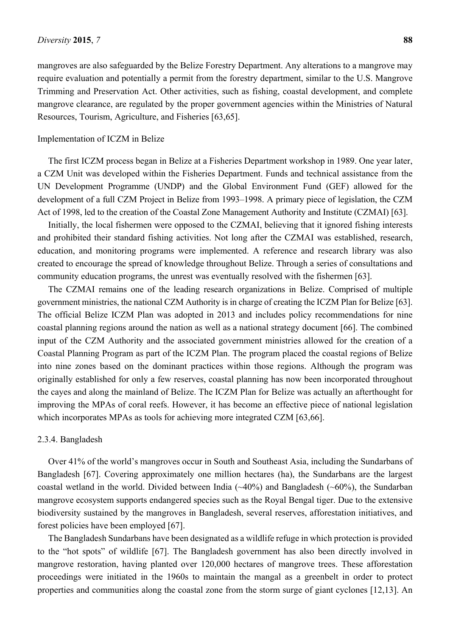mangroves are also safeguarded by the Belize Forestry Department. Any alterations to a mangrove may require evaluation and potentially a permit from the forestry department, similar to the U.S. Mangrove Trimming and Preservation Act. Other activities, such as fishing, coastal development, and complete mangrove clearance, are regulated by the proper government agencies within the Ministries of Natural Resources, Tourism, Agriculture, and Fisheries [63,65].

# Implementation of ICZM in Belize

The first ICZM process began in Belize at a Fisheries Department workshop in 1989. One year later, a CZM Unit was developed within the Fisheries Department. Funds and technical assistance from the UN Development Programme (UNDP) and the Global Environment Fund (GEF) allowed for the development of a full CZM Project in Belize from 1993–1998. A primary piece of legislation, the CZM Act of 1998, led to the creation of the Coastal Zone Management Authority and Institute (CZMAI) [63].

Initially, the local fishermen were opposed to the CZMAI, believing that it ignored fishing interests and prohibited their standard fishing activities. Not long after the CZMAI was established, research, education, and monitoring programs were implemented. A reference and research library was also created to encourage the spread of knowledge throughout Belize. Through a series of consultations and community education programs, the unrest was eventually resolved with the fishermen [63].

The CZMAI remains one of the leading research organizations in Belize. Comprised of multiple government ministries, the national CZM Authority is in charge of creating the ICZM Plan for Belize [63]. The official Belize ICZM Plan was adopted in 2013 and includes policy recommendations for nine coastal planning regions around the nation as well as a national strategy document [66]. The combined input of the CZM Authority and the associated government ministries allowed for the creation of a Coastal Planning Program as part of the ICZM Plan. The program placed the coastal regions of Belize into nine zones based on the dominant practices within those regions. Although the program was originally established for only a few reserves, coastal planning has now been incorporated throughout the cayes and along the mainland of Belize. The ICZM Plan for Belize was actually an afterthought for improving the MPAs of coral reefs. However, it has become an effective piece of national legislation which incorporates MPAs as tools for achieving more integrated CZM [63,66].

#### 2.3.4. Bangladesh

Over 41% of the world's mangroves occur in South and Southeast Asia, including the Sundarbans of Bangladesh [67]. Covering approximately one million hectares (ha), the Sundarbans are the largest coastal wetland in the world. Divided between India  $(\sim40\%)$  and Bangladesh  $(\sim60\%)$ , the Sundarban mangrove ecosystem supports endangered species such as the Royal Bengal tiger. Due to the extensive biodiversity sustained by the mangroves in Bangladesh, several reserves, afforestation initiatives, and forest policies have been employed [67].

The Bangladesh Sundarbans have been designated as a wildlife refuge in which protection is provided to the "hot spots" of wildlife [67]. The Bangladesh government has also been directly involved in mangrove restoration, having planted over 120,000 hectares of mangrove trees. These afforestation proceedings were initiated in the 1960s to maintain the mangal as a greenbelt in order to protect properties and communities along the coastal zone from the storm surge of giant cyclones [12,13]. An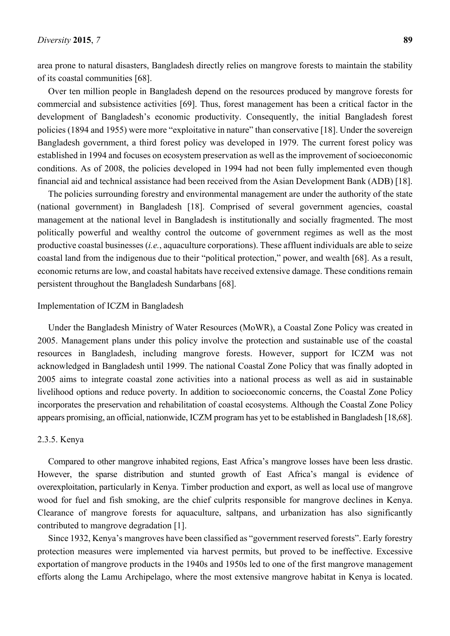area prone to natural disasters, Bangladesh directly relies on mangrove forests to maintain the stability of its coastal communities [68].

Over ten million people in Bangladesh depend on the resources produced by mangrove forests for commercial and subsistence activities [69]. Thus, forest management has been a critical factor in the development of Bangladesh's economic productivity. Consequently, the initial Bangladesh forest policies (1894 and 1955) were more "exploitative in nature" than conservative [18]. Under the sovereign Bangladesh government, a third forest policy was developed in 1979. The current forest policy was established in 1994 and focuses on ecosystem preservation as well as the improvement of socioeconomic conditions. As of 2008, the policies developed in 1994 had not been fully implemented even though financial aid and technical assistance had been received from the Asian Development Bank (ADB) [18].

The policies surrounding forestry and environmental management are under the authority of the state (national government) in Bangladesh [18]. Comprised of several government agencies, coastal management at the national level in Bangladesh is institutionally and socially fragmented. The most politically powerful and wealthy control the outcome of government regimes as well as the most productive coastal businesses (*i.e.*, aquaculture corporations). These affluent individuals are able to seize coastal land from the indigenous due to their "political protection," power, and wealth [68]. As a result, economic returns are low, and coastal habitats have received extensive damage. These conditions remain persistent throughout the Bangladesh Sundarbans [68].

## Implementation of ICZM in Bangladesh

Under the Bangladesh Ministry of Water Resources (MoWR), a Coastal Zone Policy was created in 2005. Management plans under this policy involve the protection and sustainable use of the coastal resources in Bangladesh, including mangrove forests. However, support for ICZM was not acknowledged in Bangladesh until 1999. The national Coastal Zone Policy that was finally adopted in 2005 aims to integrate coastal zone activities into a national process as well as aid in sustainable livelihood options and reduce poverty. In addition to socioeconomic concerns, the Coastal Zone Policy incorporates the preservation and rehabilitation of coastal ecosystems. Although the Coastal Zone Policy appears promising, an official, nationwide, ICZM program has yet to be established in Bangladesh [18,68].

#### 2.3.5. Kenya

Compared to other mangrove inhabited regions, East Africa's mangrove losses have been less drastic. However, the sparse distribution and stunted growth of East Africa's mangal is evidence of overexploitation, particularly in Kenya. Timber production and export, as well as local use of mangrove wood for fuel and fish smoking, are the chief culprits responsible for mangrove declines in Kenya. Clearance of mangrove forests for aquaculture, saltpans, and urbanization has also significantly contributed to mangrove degradation [1].

Since 1932, Kenya's mangroves have been classified as "government reserved forests". Early forestry protection measures were implemented via harvest permits, but proved to be ineffective. Excessive exportation of mangrove products in the 1940s and 1950s led to one of the first mangrove management efforts along the Lamu Archipelago, where the most extensive mangrove habitat in Kenya is located.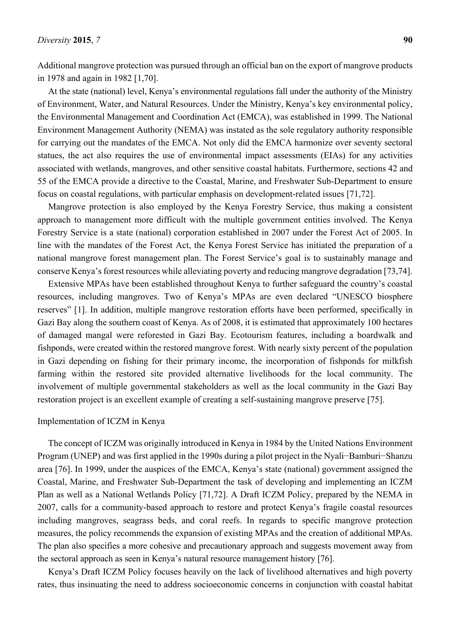Additional mangrove protection was pursued through an official ban on the export of mangrove products in 1978 and again in 1982 [1,70].

At the state (national) level, Kenya's environmental regulations fall under the authority of the Ministry of Environment, Water, and Natural Resources. Under the Ministry, Kenya's key environmental policy, the Environmental Management and Coordination Act (EMCA), was established in 1999. The National Environment Management Authority (NEMA) was instated as the sole regulatory authority responsible for carrying out the mandates of the EMCA. Not only did the EMCA harmonize over seventy sectoral statues, the act also requires the use of environmental impact assessments (EIAs) for any activities associated with wetlands, mangroves, and other sensitive coastal habitats. Furthermore, sections 42 and 55 of the EMCA provide a directive to the Coastal, Marine, and Freshwater Sub-Department to ensure focus on coastal regulations, with particular emphasis on development-related issues [71,72].

Mangrove protection is also employed by the Kenya Forestry Service, thus making a consistent approach to management more difficult with the multiple government entities involved. The Kenya Forestry Service is a state (national) corporation established in 2007 under the Forest Act of 2005. In line with the mandates of the Forest Act, the Kenya Forest Service has initiated the preparation of a national mangrove forest management plan. The Forest Service's goal is to sustainably manage and conserve Kenya's forest resources while alleviating poverty and reducing mangrove degradation [73,74].

Extensive MPAs have been established throughout Kenya to further safeguard the country's coastal resources, including mangroves. Two of Kenya's MPAs are even declared "UNESCO biosphere reserves" [1]. In addition, multiple mangrove restoration efforts have been performed, specifically in Gazi Bay along the southern coast of Kenya. As of 2008, it is estimated that approximately 100 hectares of damaged mangal were reforested in Gazi Bay. Ecotourism features, including a boardwalk and fishponds, were created within the restored mangrove forest. With nearly sixty percent of the population in Gazi depending on fishing for their primary income, the incorporation of fishponds for milkfish farming within the restored site provided alternative livelihoods for the local community. The involvement of multiple governmental stakeholders as well as the local community in the Gazi Bay restoration project is an excellent example of creating a self-sustaining mangrove preserve [75].

#### Implementation of ICZM in Kenya

The concept of ICZM was originally introduced in Kenya in 1984 by the United Nations Environment Program (UNEP) and was first applied in the 1990s during a pilot project in the Nyali−Bamburi−Shanzu area [76]. In 1999, under the auspices of the EMCA, Kenya's state (national) government assigned the Coastal, Marine, and Freshwater Sub-Department the task of developing and implementing an ICZM Plan as well as a National Wetlands Policy [71,72]. A Draft ICZM Policy, prepared by the NEMA in 2007, calls for a community-based approach to restore and protect Kenya's fragile coastal resources including mangroves, seagrass beds, and coral reefs. In regards to specific mangrove protection measures, the policy recommends the expansion of existing MPAs and the creation of additional MPAs. The plan also specifies a more cohesive and precautionary approach and suggests movement away from the sectoral approach as seen in Kenya's natural resource management history [76].

Kenya's Draft ICZM Policy focuses heavily on the lack of livelihood alternatives and high poverty rates, thus insinuating the need to address socioeconomic concerns in conjunction with coastal habitat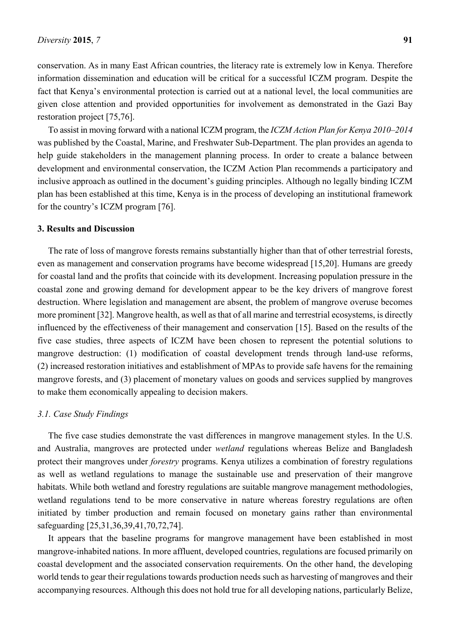conservation. As in many East African countries, the literacy rate is extremely low in Kenya. Therefore information dissemination and education will be critical for a successful ICZM program. Despite the fact that Kenya's environmental protection is carried out at a national level, the local communities are given close attention and provided opportunities for involvement as demonstrated in the Gazi Bay restoration project [75,76].

To assist in moving forward with a national ICZM program, the *ICZM Action Plan for Kenya 2010–2014* was published by the Coastal, Marine, and Freshwater Sub-Department. The plan provides an agenda to help guide stakeholders in the management planning process. In order to create a balance between development and environmental conservation, the ICZM Action Plan recommends a participatory and inclusive approach as outlined in the document's guiding principles. Although no legally binding ICZM plan has been established at this time, Kenya is in the process of developing an institutional framework for the country's ICZM program [76].

## **3. Results and Discussion**

The rate of loss of mangrove forests remains substantially higher than that of other terrestrial forests, even as management and conservation programs have become widespread [15,20]. Humans are greedy for coastal land and the profits that coincide with its development. Increasing population pressure in the coastal zone and growing demand for development appear to be the key drivers of mangrove forest destruction. Where legislation and management are absent, the problem of mangrove overuse becomes more prominent [32]. Mangrove health, as well as that of all marine and terrestrial ecosystems, is directly influenced by the effectiveness of their management and conservation [15]. Based on the results of the five case studies, three aspects of ICZM have been chosen to represent the potential solutions to mangrove destruction: (1) modification of coastal development trends through land-use reforms, (2) increased restoration initiatives and establishment of MPAs to provide safe havens for the remaining mangrove forests, and (3) placement of monetary values on goods and services supplied by mangroves to make them economically appealing to decision makers.

#### *3.1. Case Study Findings*

The five case studies demonstrate the vast differences in mangrove management styles. In the U.S. and Australia, mangroves are protected under *wetland* regulations whereas Belize and Bangladesh protect their mangroves under *forestry* programs. Kenya utilizes a combination of forestry regulations as well as wetland regulations to manage the sustainable use and preservation of their mangrove habitats. While both wetland and forestry regulations are suitable mangrove management methodologies, wetland regulations tend to be more conservative in nature whereas forestry regulations are often initiated by timber production and remain focused on monetary gains rather than environmental safeguarding [25,31,36,39,41,70,72,74].

It appears that the baseline programs for mangrove management have been established in most mangrove-inhabited nations. In more affluent, developed countries, regulations are focused primarily on coastal development and the associated conservation requirements. On the other hand, the developing world tends to gear their regulations towards production needs such as harvesting of mangroves and their accompanying resources. Although this does not hold true for all developing nations, particularly Belize,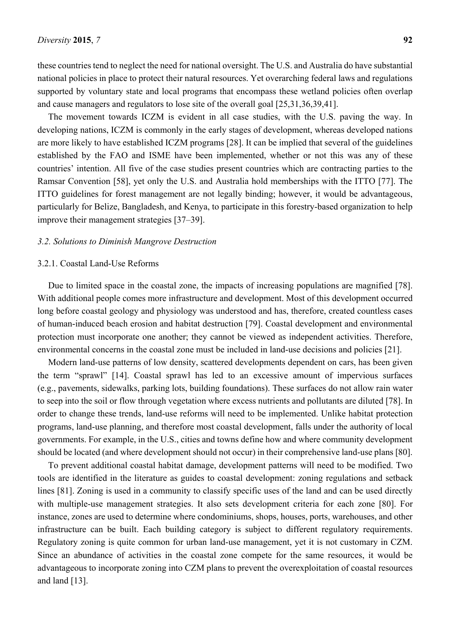these countries tend to neglect the need for national oversight. The U.S. and Australia do have substantial national policies in place to protect their natural resources. Yet overarching federal laws and regulations supported by voluntary state and local programs that encompass these wetland policies often overlap and cause managers and regulators to lose site of the overall goal [25,31,36,39,41].

The movement towards ICZM is evident in all case studies, with the U.S. paving the way. In developing nations, ICZM is commonly in the early stages of development, whereas developed nations are more likely to have established ICZM programs [28]. It can be implied that several of the guidelines established by the FAO and ISME have been implemented, whether or not this was any of these countries' intention. All five of the case studies present countries which are contracting parties to the Ramsar Convention [58], yet only the U.S. and Australia hold memberships with the ITTO [77]. The ITTO guidelines for forest management are not legally binding; however, it would be advantageous, particularly for Belize, Bangladesh, and Kenya, to participate in this forestry-based organization to help improve their management strategies [37–39].

#### *3.2. Solutions to Diminish Mangrove Destruction*

## 3.2.1. Coastal Land-Use Reforms

Due to limited space in the coastal zone, the impacts of increasing populations are magnified [78]. With additional people comes more infrastructure and development. Most of this development occurred long before coastal geology and physiology was understood and has, therefore, created countless cases of human-induced beach erosion and habitat destruction [79]. Coastal development and environmental protection must incorporate one another; they cannot be viewed as independent activities. Therefore, environmental concerns in the coastal zone must be included in land-use decisions and policies [21].

Modern land-use patterns of low density, scattered developments dependent on cars, has been given the term "sprawl" [14]. Coastal sprawl has led to an excessive amount of impervious surfaces (e.g., pavements, sidewalks, parking lots, building foundations). These surfaces do not allow rain water to seep into the soil or flow through vegetation where excess nutrients and pollutants are diluted [78]. In order to change these trends, land-use reforms will need to be implemented. Unlike habitat protection programs, land-use planning, and therefore most coastal development, falls under the authority of local governments. For example, in the U.S., cities and towns define how and where community development should be located (and where development should not occur) in their comprehensive land-use plans [80].

To prevent additional coastal habitat damage, development patterns will need to be modified. Two tools are identified in the literature as guides to coastal development: zoning regulations and setback lines [81]. Zoning is used in a community to classify specific uses of the land and can be used directly with multiple-use management strategies. It also sets development criteria for each zone [80]. For instance, zones are used to determine where condominiums, shops, houses, ports, warehouses, and other infrastructure can be built. Each building category is subject to different regulatory requirements. Regulatory zoning is quite common for urban land-use management, yet it is not customary in CZM. Since an abundance of activities in the coastal zone compete for the same resources, it would be advantageous to incorporate zoning into CZM plans to prevent the overexploitation of coastal resources and land [13].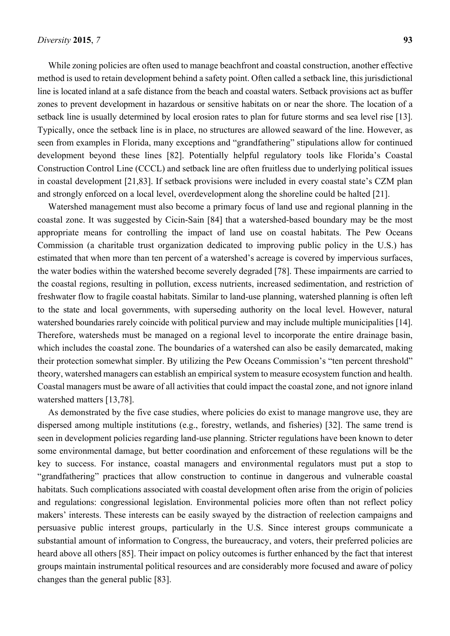While zoning policies are often used to manage beachfront and coastal construction, another effective method is used to retain development behind a safety point. Often called a setback line, this jurisdictional line is located inland at a safe distance from the beach and coastal waters. Setback provisions act as buffer zones to prevent development in hazardous or sensitive habitats on or near the shore. The location of a setback line is usually determined by local erosion rates to plan for future storms and sea level rise [13]. Typically, once the setback line is in place, no structures are allowed seaward of the line. However, as seen from examples in Florida, many exceptions and "grandfathering" stipulations allow for continued development beyond these lines [82]. Potentially helpful regulatory tools like Florida's Coastal Construction Control Line (CCCL) and setback line are often fruitless due to underlying political issues in coastal development [21,83]. If setback provisions were included in every coastal state's CZM plan and strongly enforced on a local level, overdevelopment along the shoreline could be halted [21].

Watershed management must also become a primary focus of land use and regional planning in the coastal zone. It was suggested by Cicin-Sain [84] that a watershed-based boundary may be the most appropriate means for controlling the impact of land use on coastal habitats. The Pew Oceans Commission (a charitable trust organization dedicated to improving public policy in the U.S.) has estimated that when more than ten percent of a watershed's acreage is covered by impervious surfaces, the water bodies within the watershed become severely degraded [78]. These impairments are carried to the coastal regions, resulting in pollution, excess nutrients, increased sedimentation, and restriction of freshwater flow to fragile coastal habitats. Similar to land-use planning, watershed planning is often left to the state and local governments, with superseding authority on the local level. However, natural watershed boundaries rarely coincide with political purview and may include multiple municipalities [14]. Therefore, watersheds must be managed on a regional level to incorporate the entire drainage basin, which includes the coastal zone. The boundaries of a watershed can also be easily demarcated, making their protection somewhat simpler. By utilizing the Pew Oceans Commission's "ten percent threshold" theory, watershed managers can establish an empirical system to measure ecosystem function and health. Coastal managers must be aware of all activities that could impact the coastal zone, and not ignore inland watershed matters [13,78].

As demonstrated by the five case studies, where policies do exist to manage mangrove use, they are dispersed among multiple institutions (e.g., forestry, wetlands, and fisheries) [32]. The same trend is seen in development policies regarding land-use planning. Stricter regulations have been known to deter some environmental damage, but better coordination and enforcement of these regulations will be the key to success. For instance, coastal managers and environmental regulators must put a stop to "grandfathering" practices that allow construction to continue in dangerous and vulnerable coastal habitats. Such complications associated with coastal development often arise from the origin of policies and regulations: congressional legislation. Environmental policies more often than not reflect policy makers' interests. These interests can be easily swayed by the distraction of reelection campaigns and persuasive public interest groups, particularly in the U.S. Since interest groups communicate a substantial amount of information to Congress, the bureaucracy, and voters, their preferred policies are heard above all others [85]. Their impact on policy outcomes is further enhanced by the fact that interest groups maintain instrumental political resources and are considerably more focused and aware of policy changes than the general public [83].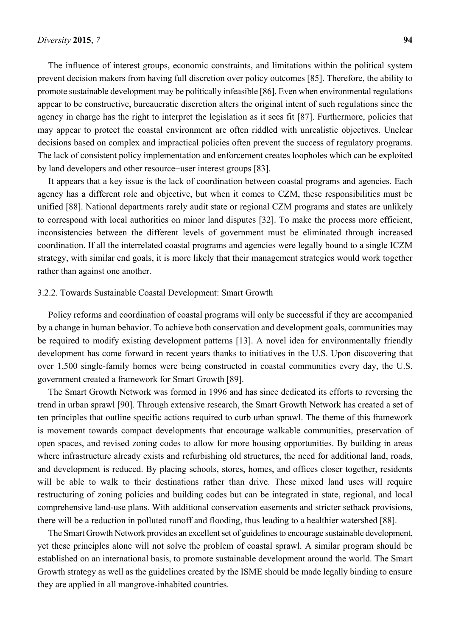The influence of interest groups, economic constraints, and limitations within the political system prevent decision makers from having full discretion over policy outcomes [85]. Therefore, the ability to promote sustainable development may be politically infeasible [86]. Even when environmental regulations appear to be constructive, bureaucratic discretion alters the original intent of such regulations since the agency in charge has the right to interpret the legislation as it sees fit [87]. Furthermore, policies that may appear to protect the coastal environment are often riddled with unrealistic objectives. Unclear decisions based on complex and impractical policies often prevent the success of regulatory programs. The lack of consistent policy implementation and enforcement creates loopholes which can be exploited by land developers and other resource−user interest groups [83].

It appears that a key issue is the lack of coordination between coastal programs and agencies. Each agency has a different role and objective, but when it comes to CZM, these responsibilities must be unified [88]. National departments rarely audit state or regional CZM programs and states are unlikely to correspond with local authorities on minor land disputes [32]. To make the process more efficient, inconsistencies between the different levels of government must be eliminated through increased coordination. If all the interrelated coastal programs and agencies were legally bound to a single ICZM strategy, with similar end goals, it is more likely that their management strategies would work together rather than against one another.

## 3.2.2. Towards Sustainable Coastal Development: Smart Growth

Policy reforms and coordination of coastal programs will only be successful if they are accompanied by a change in human behavior. To achieve both conservation and development goals, communities may be required to modify existing development patterns [13]. A novel idea for environmentally friendly development has come forward in recent years thanks to initiatives in the U.S. Upon discovering that over 1,500 single-family homes were being constructed in coastal communities every day, the U.S. government created a framework for Smart Growth [89].

The Smart Growth Network was formed in 1996 and has since dedicated its efforts to reversing the trend in urban sprawl [90]. Through extensive research, the Smart Growth Network has created a set of ten principles that outline specific actions required to curb urban sprawl. The theme of this framework is movement towards compact developments that encourage walkable communities, preservation of open spaces, and revised zoning codes to allow for more housing opportunities. By building in areas where infrastructure already exists and refurbishing old structures, the need for additional land, roads, and development is reduced. By placing schools, stores, homes, and offices closer together, residents will be able to walk to their destinations rather than drive. These mixed land uses will require restructuring of zoning policies and building codes but can be integrated in state, regional, and local comprehensive land-use plans. With additional conservation easements and stricter setback provisions, there will be a reduction in polluted runoff and flooding, thus leading to a healthier watershed [88].

The Smart Growth Network provides an excellent set of guidelines to encourage sustainable development, yet these principles alone will not solve the problem of coastal sprawl. A similar program should be established on an international basis, to promote sustainable development around the world. The Smart Growth strategy as well as the guidelines created by the ISME should be made legally binding to ensure they are applied in all mangrove-inhabited countries.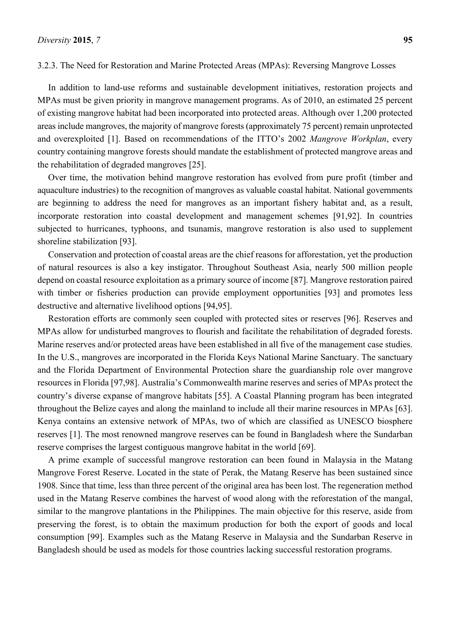## 3.2.3. The Need for Restoration and Marine Protected Areas (MPAs): Reversing Mangrove Losses

In addition to land-use reforms and sustainable development initiatives, restoration projects and MPAs must be given priority in mangrove management programs. As of 2010, an estimated 25 percent of existing mangrove habitat had been incorporated into protected areas. Although over 1,200 protected areas include mangroves, the majority of mangrove forests (approximately 75 percent) remain unprotected and overexploited [1]. Based on recommendations of the ITTO's 2002 *Mangrove Workplan*, every country containing mangrove forests should mandate the establishment of protected mangrove areas and the rehabilitation of degraded mangroves [25].

Over time, the motivation behind mangrove restoration has evolved from pure profit (timber and aquaculture industries) to the recognition of mangroves as valuable coastal habitat. National governments are beginning to address the need for mangroves as an important fishery habitat and, as a result, incorporate restoration into coastal development and management schemes [91,92]. In countries subjected to hurricanes, typhoons, and tsunamis, mangrove restoration is also used to supplement shoreline stabilization [93].

Conservation and protection of coastal areas are the chief reasons for afforestation, yet the production of natural resources is also a key instigator. Throughout Southeast Asia, nearly 500 million people depend on coastal resource exploitation as a primary source of income [87]. Mangrove restoration paired with timber or fisheries production can provide employment opportunities [93] and promotes less destructive and alternative livelihood options [94,95].

Restoration efforts are commonly seen coupled with protected sites or reserves [96]. Reserves and MPAs allow for undisturbed mangroves to flourish and facilitate the rehabilitation of degraded forests. Marine reserves and/or protected areas have been established in all five of the management case studies. In the U.S., mangroves are incorporated in the Florida Keys National Marine Sanctuary. The sanctuary and the Florida Department of Environmental Protection share the guardianship role over mangrove resources in Florida [97,98]. Australia's Commonwealth marine reserves and series of MPAs protect the country's diverse expanse of mangrove habitats [55]. A Coastal Planning program has been integrated throughout the Belize cayes and along the mainland to include all their marine resources in MPAs [63]. Kenya contains an extensive network of MPAs, two of which are classified as UNESCO biosphere reserves [1]. The most renowned mangrove reserves can be found in Bangladesh where the Sundarban reserve comprises the largest contiguous mangrove habitat in the world [69].

A prime example of successful mangrove restoration can been found in Malaysia in the Matang Mangrove Forest Reserve. Located in the state of Perak, the Matang Reserve has been sustained since 1908. Since that time, less than three percent of the original area has been lost. The regeneration method used in the Matang Reserve combines the harvest of wood along with the reforestation of the mangal, similar to the mangrove plantations in the Philippines. The main objective for this reserve, aside from preserving the forest, is to obtain the maximum production for both the export of goods and local consumption [99]. Examples such as the Matang Reserve in Malaysia and the Sundarban Reserve in Bangladesh should be used as models for those countries lacking successful restoration programs.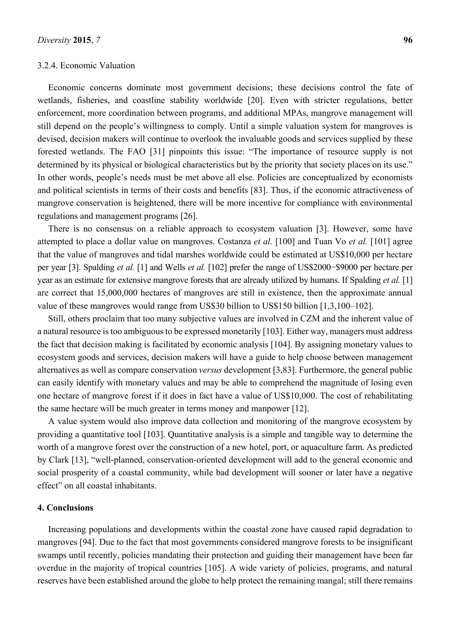#### 3.2.4. Economic Valuation

Economic concerns dominate most government decisions; these decisions control the fate of wetlands, fisheries, and coastline stability worldwide [20]. Even with stricter regulations, better enforcement, more coordination between programs, and additional MPAs, mangrove management will still depend on the people's willingness to comply. Until a simple valuation system for mangroves is devised, decision makers will continue to overlook the invaluable goods and services supplied by these forested wetlands. The FAO [31] pinpoints this issue: "The importance of resource supply is not determined by its physical or biological characteristics but by the priority that society places on its use." In other words, people's needs must be met above all else. Policies are conceptualized by economists and political scientists in terms of their costs and benefits [83]. Thus, if the economic attractiveness of mangrove conservation is heightened, there will be more incentive for compliance with environmental regulations and management programs [26].

There is no consensus on a reliable approach to ecosystem valuation [3]. However, some have attempted to place a dollar value on mangroves. Costanza *et al.* [100] and Tuan Vo *et al.* [101] agree that the value of mangroves and tidal marshes worldwide could be estimated at US\$10,000 per hectare per year [3]. Spalding *et al.* [1] and Wells *et al.* [102] prefer the range of US\$2000−\$9000 per hectare per year as an estimate for extensive mangrove forests that are already utilized by humans. If Spalding *et al.* [1] are correct that 15,000,000 hectares of mangroves are still in existence, then the approximate annual value of these mangroves would range from US\$30 billion to US\$150 billion [1,3,100–102].

Still, others proclaim that too many subjective values are involved in CZM and the inherent value of a natural resource is too ambiguous to be expressed monetarily [103]. Either way, managers must address the fact that decision making is facilitated by economic analysis [104]. By assigning monetary values to ecosystem goods and services, decision makers will have a guide to help choose between management alternatives as well as compare conservation *versus* development [3,83]. Furthermore, the general public can easily identify with monetary values and may be able to comprehend the magnitude of losing even one hectare of mangrove forest if it does in fact have a value of US\$10,000. The cost of rehabilitating the same hectare will be much greater in terms money and manpower [12].

A value system would also improve data collection and monitoring of the mangrove ecosystem by providing a quantitative tool [103]. Quantitative analysis is a simple and tangible way to determine the worth of a mangrove forest over the construction of a new hotel, port, or aquaculture farm. As predicted by Clark [13], "well-planned, conservation-oriented development will add to the general economic and social prosperity of a coastal community, while bad development will sooner or later have a negative effect" on all coastal inhabitants.

#### **4. Conclusions**

Increasing populations and developments within the coastal zone have caused rapid degradation to mangroves [94]. Due to the fact that most governments considered mangrove forests to be insignificant swamps until recently, policies mandating their protection and guiding their management have been far overdue in the majority of tropical countries [105]. A wide variety of policies, programs, and natural reserves have been established around the globe to help protect the remaining mangal; still there remains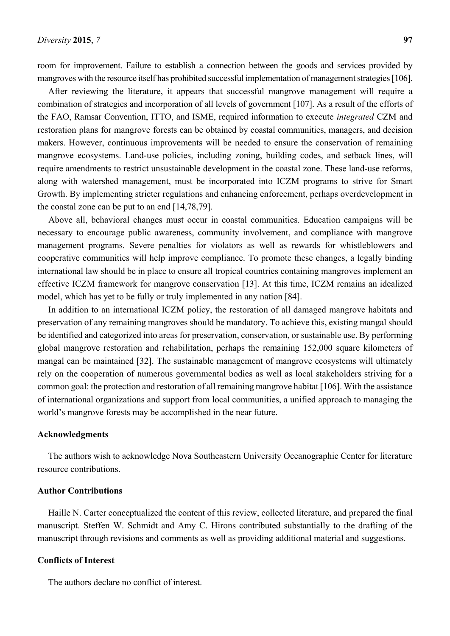room for improvement. Failure to establish a connection between the goods and services provided by mangroves with the resource itself has prohibited successful implementation of management strategies [106].

After reviewing the literature, it appears that successful mangrove management will require a combination of strategies and incorporation of all levels of government [107]. As a result of the efforts of the FAO, Ramsar Convention, ITTO, and ISME, required information to execute *integrated* CZM and restoration plans for mangrove forests can be obtained by coastal communities, managers, and decision makers. However, continuous improvements will be needed to ensure the conservation of remaining mangrove ecosystems. Land-use policies, including zoning, building codes, and setback lines, will require amendments to restrict unsustainable development in the coastal zone. These land-use reforms, along with watershed management, must be incorporated into ICZM programs to strive for Smart Growth. By implementing stricter regulations and enhancing enforcement, perhaps overdevelopment in the coastal zone can be put to an end [14,78,79].

Above all, behavioral changes must occur in coastal communities. Education campaigns will be necessary to encourage public awareness, community involvement, and compliance with mangrove management programs. Severe penalties for violators as well as rewards for whistleblowers and cooperative communities will help improve compliance. To promote these changes, a legally binding international law should be in place to ensure all tropical countries containing mangroves implement an effective ICZM framework for mangrove conservation [13]. At this time, ICZM remains an idealized model, which has yet to be fully or truly implemented in any nation [84].

In addition to an international ICZM policy, the restoration of all damaged mangrove habitats and preservation of any remaining mangroves should be mandatory. To achieve this, existing mangal should be identified and categorized into areas for preservation, conservation, or sustainable use. By performing global mangrove restoration and rehabilitation, perhaps the remaining 152,000 square kilometers of mangal can be maintained [32]. The sustainable management of mangrove ecosystems will ultimately rely on the cooperation of numerous governmental bodies as well as local stakeholders striving for a common goal: the protection and restoration of all remaining mangrove habitat [106]. With the assistance of international organizations and support from local communities, a unified approach to managing the world's mangrove forests may be accomplished in the near future.

#### **Acknowledgments**

The authors wish to acknowledge Nova Southeastern University Oceanographic Center for literature resource contributions.

#### **Author Contributions**

Haille N. Carter conceptualized the content of this review, collected literature, and prepared the final manuscript. Steffen W. Schmidt and Amy C. Hirons contributed substantially to the drafting of the manuscript through revisions and comments as well as providing additional material and suggestions.

## **Conflicts of Interest**

The authors declare no conflict of interest.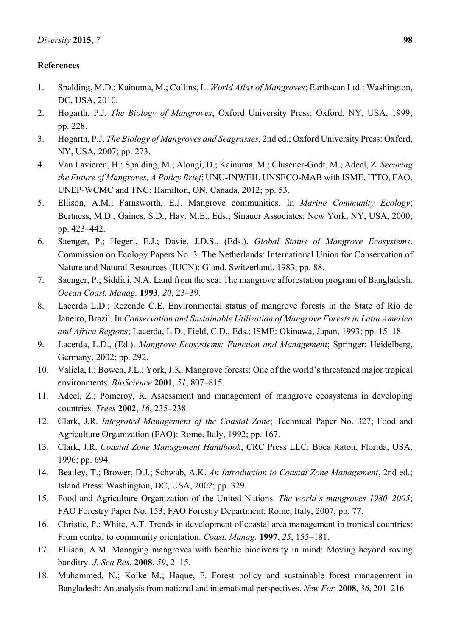# **References**

- 1. Spalding, M.D.; Kainuma, M.; Collins, L. *World Atlas of Mangroves*; Earthscan Ltd.: Washington, DC, USA, 2010.
- 2. Hogarth, P.J. *The Biology of Mangroves*; Oxford University Press: Oxford, NY, USA, 1999; pp. 228.
- 3. Hogarth, P.J. *The Biology of Mangroves and Seagrasses*, 2nd ed.; Oxford University Press: Oxford, NY, USA, 2007; pp. 273.
- 4. Van Lavieren, H.; Spalding, M.; Alongi, D.; Kainuma, M.; Clusener-Godt, M.; Adeel, Z. *Securing the Future of Mangroves, A Policy Brief*; UNU-INWEH, UNSECO-MAB with ISME, ITTO, FAO, UNEP-WCMC and TNC: Hamilton, ON, Canada, 2012; pp. 53.
- 5. Ellison, A.M.; Farnsworth, E.J. Mangrove communities. In *Marine Community Ecology*; Bertness, M.D., Gaines, S.D., Hay, M.E., Eds.; Sinauer Associates: New York, NY, USA, 2000; pp. 423–442.
- 6. Saenger, P.; Hegerl, E.J.; Davie, J.D.S., (Eds.). *Global Status of Mangrove Ecosystems*. Commission on Ecology Papers No. 3. The Netherlands: International Union for Conservation of Nature and Natural Resources (IUCN): Gland, Switzerland, 1983; pp. 88.
- 7. Saenger, P.; Siddiqi, N.A. Land from the sea: The mangrove afforestation program of Bangladesh. *Ocean Coast. Manag.* **1993**, *20*, 23–39.
- 8. Lacerda L.D.; Rezende C.E. Environmental status of mangrove forests in the State of Rio de Janeiro, Brazil. In *Conservation and Sustainable Utilization of Mangrove Forests in Latin America and Africa Regions*; Lacerda, L.D., Field, C.D., Eds.; ISME: Okinawa, Japan, 1993; pp. 15–18.
- 9. Lacerda, L.D., (Ed.). *Mangrove Ecosystems: Function and Management*; Springer: Heidelberg, Germany, 2002; pp. 292.
- 10. Valiela, I.; Bowen, J.L.; York, J.K. Mangrove forests: One of the world's threatened major tropical environments. *BioScience* **2001**, *51*, 807–815.
- 11. Adeel, Z.; Pomeroy, R. Assessment and management of mangrove ecosystems in developing countries. *Trees* **2002**, *16*, 235–238.
- 12. Clark, J.R. *Integrated Management of the Coastal Zone*; Technical Paper No. 327; Food and Agriculture Organization (FAO): Rome, Italy, 1992; pp. 167.
- 13. Clark, J.R. *Coastal Zone Management Handbook*; CRC Press LLC: Boca Raton, Florida, USA, 1996; pp. 694.
- 14. Beatley, T.; Brower, D.J.; Schwab, A.K. *An Introduction to Coastal Zone Management*, 2nd ed.; Island Press: Washington, DC, USA, 2002; pp. 329.
- 15. Food and Agriculture Organization of the United Nations. *The world's mangroves 1980–2005*; FAO Forestry Paper No. 153; FAO Forestry Department: Rome, Italy, 2007; pp. 77.
- 16. Christie, P.; White, A.T. Trends in development of coastal area management in tropical countries: From central to community orientation. *Coast. Manag.* **1997**, *25*, 155–181.
- 17. Ellison, A.M. Managing mangroves with benthic biodiversity in mind: Moving beyond roving banditry. *J. Sea Res.* **2008**, *59*, 2–15.
- 18. Muhammed, N.; Koike M.; Haque, F. Forest policy and sustainable forest management in Bangladesh: An analysis from national and international perspectives. *New For.* **2008**, *36*, 201–216.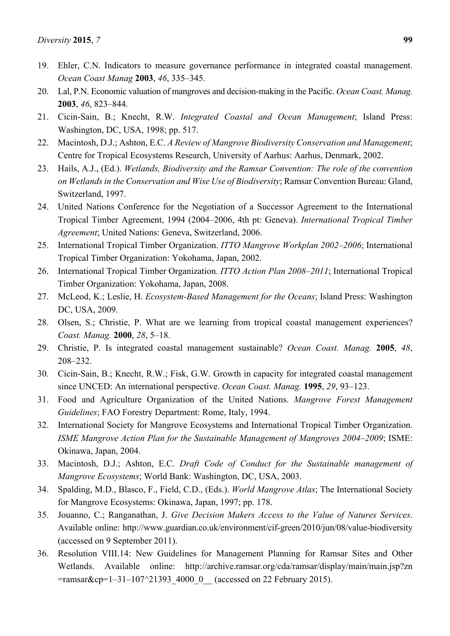- 19. Ehler, C.N. Indicators to measure governance performance in integrated coastal management. *Ocean Coast Manag* **2003**, *46*, 335–345.
- 20. Lal, P.N. Economic valuation of mangroves and decision-making in the Pacific. *Ocean Coast. Manag.* **2003**, *46*, 823–844.
- 21. Cicin-Sain, B.; Knecht, R.W. *Integrated Coastal and Ocean Management*; Island Press: Washington, DC, USA, 1998; pp. 517.
- 22. Macintosh, D.J.; Ashton, E.C. *A Review of Mangrove Biodiversity Conservation and Management*; Centre for Tropical Ecosystems Research, University of Aarhus: Aarhus, Denmark, 2002.
- 23. Hails, A.J., (Ed.). *Wetlands, Biodiversity and the Ramsar Convention: The role of the convention on Wetlands in the Conservation and Wise Use of Biodiversity*; Ramsar Convention Bureau: Gland, Switzerland, 1997.
- 24. United Nations Conference for the Negotiation of a Successor Agreement to the International Tropical Timber Agreement, 1994 (2004–2006, 4th pt: Geneva). *International Tropical Timber Agreement*; United Nations: Geneva, Switzerland, 2006.
- 25. International Tropical Timber Organization. *ITTO Mangrove Workplan 2002–2006*; International Tropical Timber Organization: Yokohama, Japan, 2002.
- 26. International Tropical Timber Organization. *ITTO Action Plan 2008–2011*; International Tropical Timber Organization: Yokohama, Japan, 2008.
- 27. McLeod, K.; Leslie, H. *Ecosystem-Based Management for the Oceans*; Island Press: Washington DC, USA, 2009.
- 28. Olsen, S.; Christie, P. What are we learning from tropical coastal management experiences? *Coast. Manag.* **2000**, *28*, 5–18.
- 29. Christie, P. Is integrated coastal management sustainable? *Ocean Coast. Manag.* **2005**, *48*, 208–232.
- 30. Cicin-Sain, B.; Knecht, R.W.; Fisk, G.W. Growth in capacity for integrated coastal management since UNCED: An international perspective. *Ocean Coast. Manag.* **1995**, *29*, 93–123.
- 31. Food and Agriculture Organization of the United Nations. *Mangrove Forest Management Guidelines*; FAO Forestry Department: Rome, Italy, 1994.
- 32. International Society for Mangrove Ecosystems and International Tropical Timber Organization. *ISME Mangrove Action Plan for the Sustainable Management of Mangroves 2004–2009*; ISME: Okinawa, Japan, 2004.
- 33. Macintosh, D.J.; Ashton, E.C. *Draft Code of Conduct for the Sustainable management of Mangrove Ecosystems*; World Bank: Washington, DC, USA, 2003.
- 34. Spalding, M.D., Blasco, F., Field, C.D., (Eds.). *World Mangrove Atlas*; The International Society for Mangrove Ecosystems: Okinawa, Japan, 1997; pp. 178.
- 35. Jouanno, C.; Ranganathan, J. *Give Decision Makers Access to the Value of Natures Services*. Available online: http://www.guardian.co.uk/environment/cif-green/2010/jun/08/value-biodiversity (accessed on 9 September 2011).
- 36. Resolution VIII.14: New Guidelines for Management Planning for Ramsar Sites and Other Wetlands. Available online: http://archive.ramsar.org/cda/ramsar/display/main/main.jsp?zn  $=$ ramsar&cp=1–31–107^21393 4000 0 (accessed on 22 February 2015).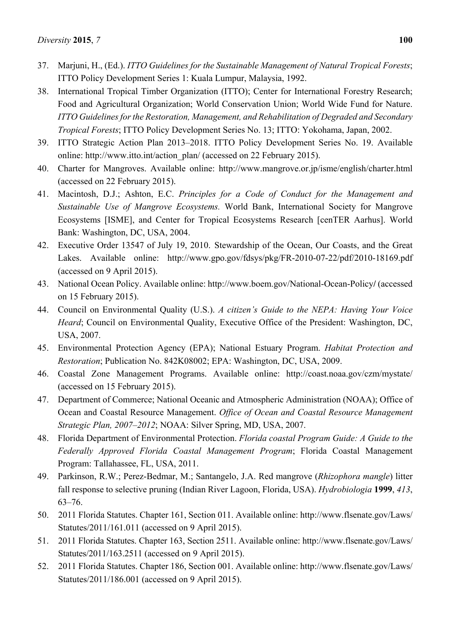- 37. Marjuni, H., (Ed.). *ITTO Guidelines for the Sustainable Management of Natural Tropical Forests*; ITTO Policy Development Series 1: Kuala Lumpur, Malaysia, 1992.
- 38. International Tropical Timber Organization (ITTO); Center for International Forestry Research; Food and Agricultural Organization; World Conservation Union; World Wide Fund for Nature. *ITTO Guidelines for the Restoration, Management, and Rehabilitation of Degraded and Secondary Tropical Forests*; ITTO Policy Development Series No. 13; ITTO: Yokohama, Japan, 2002.
- 39. ITTO Strategic Action Plan 2013–2018. ITTO Policy Development Series No. 19. Available online: http://www.itto.int/action\_plan/ (accessed on 22 February 2015).
- 40. Charter for Mangroves. Available online: http://www.mangrove.or.jp/isme/english/charter.html (accessed on 22 February 2015).
- 41. Macintosh, D.J.; Ashton, E.C. *Principles for a Code of Conduct for the Management and Sustainable Use of Mangrove Ecosystems.* World Bank, International Society for Mangrove Ecosystems [ISME], and Center for Tropical Ecosystems Research [cenTER Aarhus]. World Bank: Washington, DC, USA, 2004.
- 42. Executive Order 13547 of July 19, 2010. Stewardship of the Ocean, Our Coasts, and the Great Lakes. Available online: http://www.gpo.gov/fdsys/pkg/FR-2010-07-22/pdf/2010-18169.pdf (accessed on 9 April 2015).
- 43. National Ocean Policy. Available online: http://www.boem.gov/National-Ocean-Policy**/** (accessed on 15 February 2015).
- 44. Council on Environmental Quality (U.S.). *A citizen's Guide to the NEPA: Having Your Voice Heard*; Council on Environmental Quality, Executive Office of the President: Washington, DC, USA, 2007.
- 45. Environmental Protection Agency (EPA); National Estuary Program. *Habitat Protection and Restoration*; Publication No. 842K08002; EPA: Washington, DC, USA, 2009.
- 46. Coastal Zone Management Programs. Available online: http://coast.noaa.gov/czm/mystate/ (accessed on 15 February 2015).
- 47. Department of Commerce; National Oceanic and Atmospheric Administration (NOAA); Office of Ocean and Coastal Resource Management. *Office of Ocean and Coastal Resource Management Strategic Plan, 2007–2012*; NOAA: Silver Spring, MD, USA, 2007.
- 48. Florida Department of Environmental Protection. *Florida coastal Program Guide: A Guide to the Federally Approved Florida Coastal Management Program*; Florida Coastal Management Program: Tallahassee, FL, USA, 2011.
- 49. Parkinson, R.W.; Perez-Bedmar, M.; Santangelo, J.A. Red mangrove (*Rhizophora mangle*) litter fall response to selective pruning (Indian River Lagoon, Florida, USA). *Hydrobiologia* **1999**, *413*, 63–76.
- 50. 2011 Florida Statutes. Chapter 161, Section 011. Available online: http://www.flsenate.gov/Laws/ Statutes/2011/161.011 (accessed on 9 April 2015).
- 51. 2011 Florida Statutes. Chapter 163, Section 2511. Available online: http://www.flsenate.gov/Laws/ Statutes/2011/163.2511 (accessed on 9 April 2015).
- 52. 2011 Florida Statutes. Chapter 186, Section 001. Available online: http://www.flsenate.gov/Laws/ Statutes/2011/186.001 (accessed on 9 April 2015).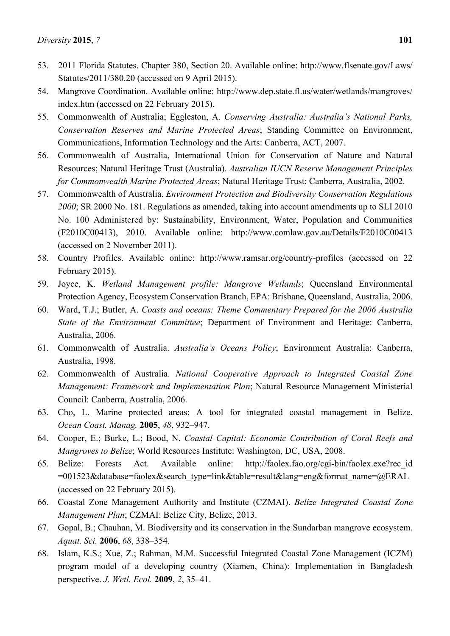- Statutes/2011/380.20 (accessed on 9 April 2015). 54. Mangrove Coordination. Available online: http://www.dep.state.fl.us/water/wetlands/mangroves/ index.htm (accessed on 22 February 2015).
- 55. Commonwealth of Australia; Eggleston, A. *Conserving Australia: Australia's National Parks, Conservation Reserves and Marine Protected Areas*; Standing Committee on Environment, Communications, Information Technology and the Arts: Canberra, ACT, 2007.
- 56. Commonwealth of Australia, International Union for Conservation of Nature and Natural Resources; Natural Heritage Trust (Australia). *Australian IUCN Reserve Management Principles for Commonwealth Marine Protected Areas*; Natural Heritage Trust: Canberra, Australia, 2002.
- 57. Commonwealth of Australia. *Environment Protection and Biodiversity Conservation Regulations 2000*; SR 2000 No. 181. Regulations as amended, taking into account amendments up to SLI 2010 No. 100 Administered by: Sustainability, Environment, Water, Population and Communities (F2010C00413), 2010. Available online: http://www.comlaw.gov.au/Details/F2010C00413 (accessed on 2 November 2011).
- 58. Country Profiles. Available online: http://www.ramsar.org/country-profiles (accessed on 22 February 2015).
- 59. Joyce, K. *Wetland Management profile: Mangrove Wetlands*; Queensland Environmental Protection Agency, Ecosystem Conservation Branch, EPA: Brisbane, Queensland, Australia, 2006.
- 60. Ward, T.J.; Butler, A. *Coasts and oceans: Theme Commentary Prepared for the 2006 Australia State of the Environment Committee*; Department of Environment and Heritage: Canberra, Australia, 2006.
- 61. Commonwealth of Australia. *Australia's Oceans Policy*; Environment Australia: Canberra, Australia, 1998.
- 62. Commonwealth of Australia. *National Cooperative Approach to Integrated Coastal Zone Management: Framework and Implementation Plan*; Natural Resource Management Ministerial Council: Canberra, Australia, 2006.
- 63. Cho, L. Marine protected areas: A tool for integrated coastal management in Belize. *Ocean Coast. Manag.* **2005**, *48*, 932–947.
- 64. Cooper, E.; Burke, L.; Bood, N. *Coastal Capital: Economic Contribution of Coral Reefs and Mangroves to Belize*; World Resources Institute: Washington, DC, USA, 2008.
- 65. Belize: Forests Act. Available online: http://faolex.fao.org/cgi-bin/faolex.exe?rec\_id =001523&database=faolex&search\_type=link&table=result&lang=eng&format\_name=@ERAL (accessed on 22 February 2015).
- 66. Coastal Zone Management Authority and Institute (CZMAI). *Belize Integrated Coastal Zone Management Plan*; CZMAI: Belize City, Belize, 2013.
- 67. Gopal, B.; Chauhan, M. Biodiversity and its conservation in the Sundarban mangrove ecosystem. *Aquat. Sci.* **2006**, *68*, 338–354.
- 68. Islam, K.S.; Xue, Z.; Rahman, M.M. Successful Integrated Coastal Zone Management (ICZM) program model of a developing country (Xiamen, China): Implementation in Bangladesh perspective. *J. Wetl. Ecol.* **2009**, *2*, 35–41.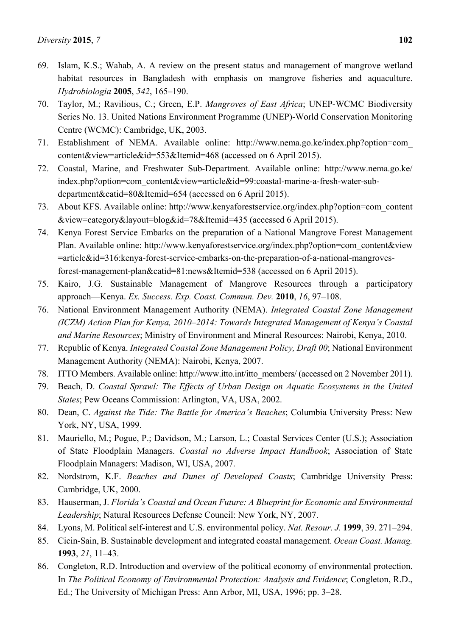- 69. Islam, K.S.; Wahab, A. A review on the present status and management of mangrove wetland habitat resources in Bangladesh with emphasis on mangrove fisheries and aquaculture. *Hydrobiologia* **2005**, *542*, 165–190.
- 70. Taylor, M.; Ravilious, C.; Green, E.P. *Mangroves of East Africa*; UNEP-WCMC Biodiversity Series No. 13. United Nations Environment Programme (UNEP)-World Conservation Monitoring Centre (WCMC): Cambridge, UK, 2003.
- 71. Establishment of NEMA. Available online: http://www.nema.go.ke/index.php?option=com\_ content&view=article&id=553&Itemid=468 (accessed on 6 April 2015).
- 72. Coastal, Marine, and Freshwater Sub-Department. Available online: http://www.nema.go.ke/ index.php?option=com\_content&view=article&id=99:coastal-marine-a-fresh-water-subdepartment&catid=80&Itemid=654 (accessed on 6 April 2015).
- 73. About KFS. Available online: http://www.kenyaforestservice.org/index.php?option=com\_content &view=category&layout=blog&id=78&Itemid=435 (accessed 6 April 2015).
- 74. Kenya Forest Service Embarks on the preparation of a National Mangrove Forest Management Plan. Available online: http://www.kenyaforestservice.org/index.php?option=com\_content&view =article&id=316:kenya-forest-service-embarks-on-the-preparation-of-a-national-mangrovesforest-management-plan&catid=81:news&Itemid=538 (accessed on 6 April 2015).
- 75. Kairo, J.G. Sustainable Management of Mangrove Resources through a participatory approach—Kenya. *Ex. Success. Exp. Coast. Commun. Dev.* **2010**, *16*, 97–108.
- 76. National Environment Management Authority (NEMA). *Integrated Coastal Zone Management (ICZM) Action Plan for Kenya, 2010–2014: Towards Integrated Management of Kenya's Coastal and Marine Resources*; Ministry of Environment and Mineral Resources: Nairobi, Kenya, 2010.
- 77. Republic of Kenya. *Integrated Coastal Zone Management Policy, Draft 00*; National Environment Management Authority (NEMA): Nairobi, Kenya, 2007.
- 78. ITTO Members. Available online: http://www.itto.int/itto\_members/ (accessed on 2 November 2011).
- 79. Beach, D. *Coastal Sprawl: The Effects of Urban Design on Aquatic Ecosystems in the United States*; Pew Oceans Commission: Arlington, VA, USA, 2002.
- 80. Dean, C. *Against the Tide: The Battle for America's Beaches*; Columbia University Press: New York, NY, USA, 1999.
- 81. Mauriello, M.; Pogue, P.; Davidson, M.; Larson, L.; Coastal Services Center (U.S.); Association of State Floodplain Managers. *Coastal no Adverse Impact Handbook*; Association of State Floodplain Managers: Madison, WI, USA, 2007.
- 82. Nordstrom, K.F. *Beaches and Dunes of Developed Coasts*; Cambridge University Press: Cambridge, UK, 2000.
- 83. Hauserman, J. *Florida's Coastal and Ocean Future: A Blueprint for Economic and Environmental Leadership*; Natural Resources Defense Council: New York, NY, 2007.
- 84. Lyons, M. Political self-interest and U.S. environmental policy. *Nat. Resour. J.* **1999**, 39. 271–294.
- 85. Cicin-Sain, B. Sustainable development and integrated coastal management. *Ocean Coast. Manag.* **1993**, *21*, 11–43.
- 86. Congleton, R.D. Introduction and overview of the political economy of environmental protection. In *The Political Economy of Environmental Protection: Analysis and Evidence*; Congleton, R.D., Ed.; The University of Michigan Press: Ann Arbor, MI, USA, 1996; pp. 3–28.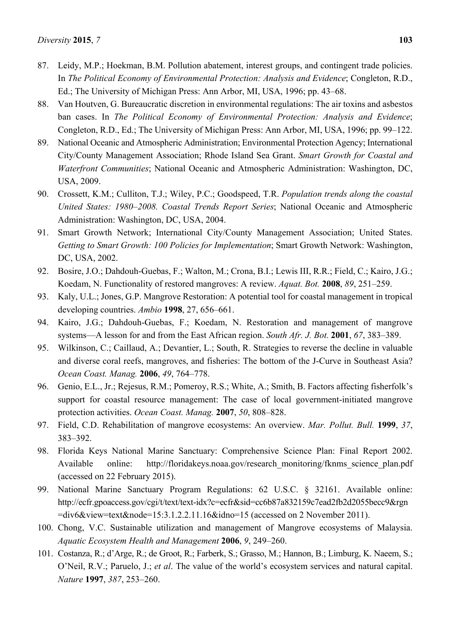- 87. Leidy, M.P.; Hoekman, B.M. Pollution abatement, interest groups, and contingent trade policies. In *The Political Economy of Environmental Protection: Analysis and Evidence*; Congleton, R.D., Ed.; The University of Michigan Press: Ann Arbor, MI, USA, 1996; pp. 43–68.
- 88. Van Houtven, G. Bureaucratic discretion in environmental regulations: The air toxins and asbestos ban cases. In *The Political Economy of Environmental Protection: Analysis and Evidence*; Congleton, R.D., Ed.; The University of Michigan Press: Ann Arbor, MI, USA, 1996; pp. 99–122.
- 89. National Oceanic and Atmospheric Administration; Environmental Protection Agency; International City/County Management Association; Rhode Island Sea Grant. *Smart Growth for Coastal and Waterfront Communities*; National Oceanic and Atmospheric Administration: Washington, DC, USA, 2009.
- 90. Crossett, K.M.; Culliton, T.J.; Wiley, P.C.; Goodspeed, T.R. *Population trends along the coastal United States: 1980–2008. Coastal Trends Report Series*; National Oceanic and Atmospheric Administration: Washington, DC, USA, 2004.
- 91. Smart Growth Network; International City/County Management Association; United States. *Getting to Smart Growth: 100 Policies for Implementation*; Smart Growth Network: Washington, DC, USA, 2002.
- 92. Bosire, J.O.; Dahdouh-Guebas, F.; Walton, M.; Crona, B.I.; Lewis III, R.R.; Field, C.; Kairo, J.G.; Koedam, N. Functionality of restored mangroves: A review. *Aquat. Bot.* **2008**, *89*, 251–259.
- 93. Kaly, U.L.; Jones, G.P. Mangrove Restoration: A potential tool for coastal management in tropical developing countries. *Ambio* **1998**, 27, 656–661.
- 94. Kairo, J.G.; Dahdouh-Guebas, F.; Koedam, N. Restoration and management of mangrove systems—A lesson for and from the East African region. *South Afr. J. Bot.* **2001**, *67*, 383–389.
- 95. Wilkinson, C.; Caillaud, A.; Devantier, L.; South, R. Strategies to reverse the decline in valuable and diverse coral reefs, mangroves, and fisheries: The bottom of the J-Curve in Southeast Asia? *Ocean Coast. Manag.* **2006**, *49*, 764–778.
- 96. Genio, E.L., Jr.; Rejesus, R.M.; Pomeroy, R.S.; White, A.; Smith, B. Factors affecting fisherfolk's support for coastal resource management: The case of local government-initiated mangrove protection activities. *Ocean Coast. Manag.* **2007**, *50*, 808–828.
- 97. Field, C.D. Rehabilitation of mangrove ecosystems: An overview. *Mar. Pollut. Bull.* **1999**, *37*, 383–392.
- 98. Florida Keys National Marine Sanctuary: Comprehensive Science Plan: Final Report 2002. Available online: http://floridakeys.noaa.gov/research\_monitoring/fknms\_science\_plan.pdf (accessed on 22 February 2015).
- 99. National Marine Sanctuary Program Regulations: 62 U.S.C. § 32161. Available online: http://ecfr.gpoaccess.gov/cgi/t/text/text-idx?c=ecfr&sid=cc6b87a832159c7ead2fb2d2055becc9&rgn =div6&view=text&node=15:3.1.2.2.11.16&idno=15 (accessed on 2 November 2011).
- 100. Chong, V.C. Sustainable utilization and management of Mangrove ecosystems of Malaysia. *Aquatic Ecosystem Health and Management* **2006**, *9*, 249–260.
- 101. Costanza, R.; d'Arge, R.; de Groot, R.; Farberk, S.; Grasso, M.; Hannon, B.; Limburg, K. Naeem, S.; O'Neil, R.V.; Paruelo, J.; *et al*. The value of the world's ecosystem services and natural capital. *Nature* **1997**, *387*, 253–260.